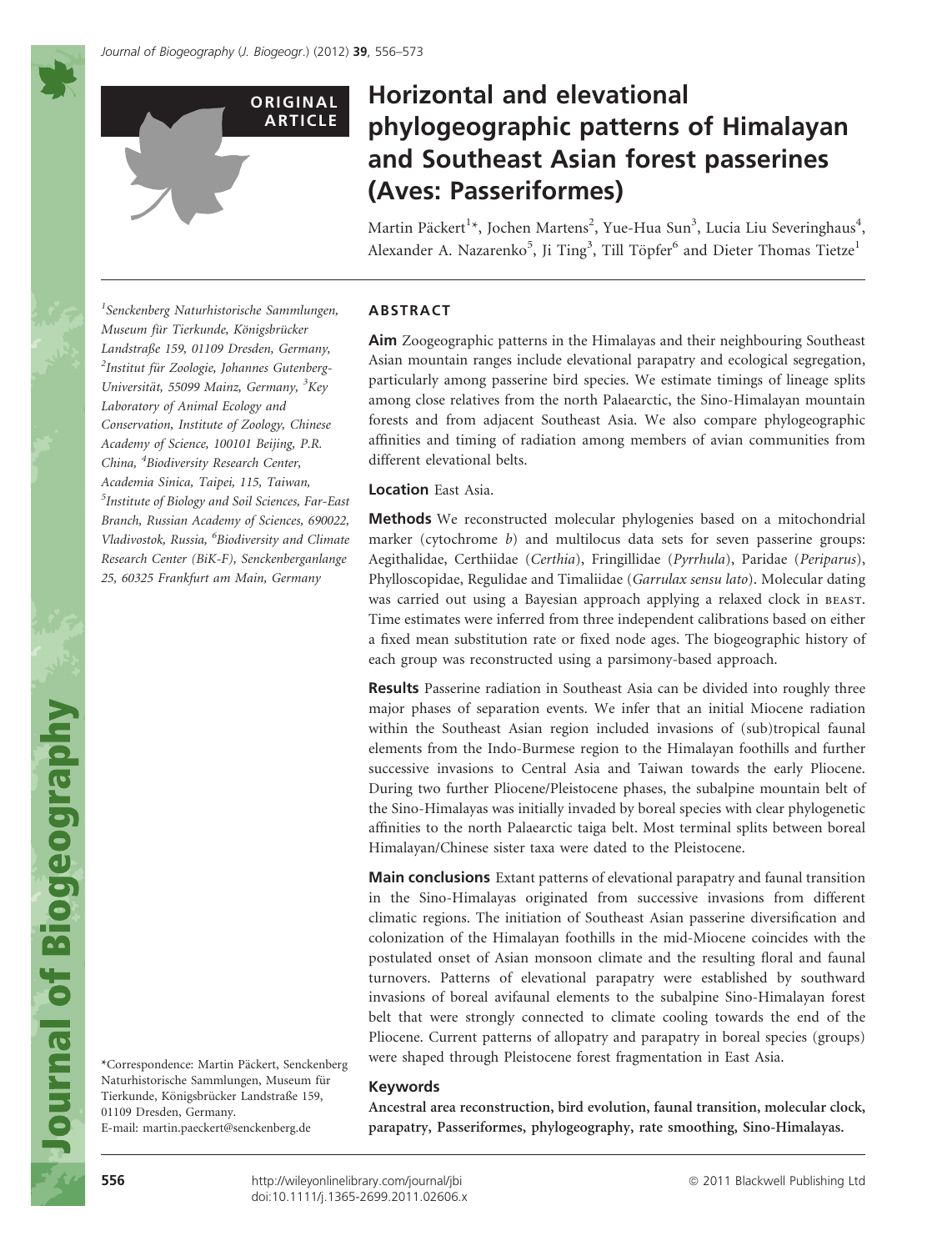

# Horizontal and elevational phylogeographic patterns of Himalayan and Southeast Asian forest passerines (Aves: Passeriformes)

Martin Päckert<sup>1</sup>\*, Jochen Martens<sup>2</sup>, Yue-Hua Sun<sup>3</sup>, Lucia Liu Severinghaus<sup>4</sup>, Alexander A. Nazarenko<sup>5</sup>, Ji Ting<sup>3</sup>, Till Töpfer<sup>6</sup> and Dieter Thomas Tietze<sup>1</sup>

# ABSTRACT

Aim Zoogeographic patterns in the Himalayas and their neighbouring Southeast Asian mountain ranges include elevational parapatry and ecological segregation, particularly among passerine bird species. We estimate timings of lineage splits among close relatives from the north Palaearctic, the Sino-Himalayan mountain forests and from adjacent Southeast Asia. We also compare phylogeographic affinities and timing of radiation among members of avian communities from different elevational belts.

# Location East Asia.

Methods We reconstructed molecular phylogenies based on a mitochondrial marker (cytochrome b) and multilocus data sets for seven passerine groups: Aegithalidae, Certhiidae (Certhia), Fringillidae (Pyrrhula), Paridae (Periparus), Phylloscopidae, Regulidae and Timaliidae (Garrulax sensu lato). Molecular dating was carried out using a Bayesian approach applying a relaxed clock in beast. Time estimates were inferred from three independent calibrations based on either a fixed mean substitution rate or fixed node ages. The biogeographic history of each group was reconstructed using a parsimony-based approach.

Results Passerine radiation in Southeast Asia can be divided into roughly three major phases of separation events. We infer that an initial Miocene radiation within the Southeast Asian region included invasions of (sub)tropical faunal elements from the Indo-Burmese region to the Himalayan foothills and further successive invasions to Central Asia and Taiwan towards the early Pliocene. During two further Pliocene/Pleistocene phases, the subalpine mountain belt of the Sino-Himalayas was initially invaded by boreal species with clear phylogenetic affinities to the north Palaearctic taiga belt. Most terminal splits between boreal Himalayan/Chinese sister taxa were dated to the Pleistocene.

Main conclusions Extant patterns of elevational parapatry and faunal transition in the Sino-Himalayas originated from successive invasions from different climatic regions. The initiation of Southeast Asian passerine diversification and colonization of the Himalayan foothills in the mid-Miocene coincides with the postulated onset of Asian monsoon climate and the resulting floral and faunal turnovers. Patterns of elevational parapatry were established by southward invasions of boreal avifaunal elements to the subalpine Sino-Himalayan forest belt that were strongly connected to climate cooling towards the end of the Pliocene. Current patterns of allopatry and parapatry in boreal species (groups) were shaped through Pleistocene forest fragmentation in East Asia.

#### Keywords

Ancestral area reconstruction, bird evolution, faunal transition, molecular clock, parapatry, Passeriformes, phylogeography, rate smoothing, Sino-Himalayas.

1 Senckenberg Naturhistorische Sammlungen, Museum für Tierkunde, Königsbrücker Landstraße 159, 01109 Dresden, Germany, <sup>2</sup>Institut für Zoologie, Johannes Gutenberg-Universität, 55099 Mainz, Germany, <sup>3</sup>Key Laboratory of Animal Ecology and Conservation, Institute of Zoology, Chinese Academy of Science, 100101 Beijing, P.R. China, <sup>4</sup>Biodiversity Research Center, Academia Sinica, Taipei, 115, Taiwan, 5 Institute of Biology and Soil Sciences, Far-East Branch, Russian Academy of Sciences, 690022, Vladivostok, Russia, <sup>6</sup>Biodiversity and Climate Research Center (BiK-F), Senckenberganlange 25, 60325 Frankfurt am Main, Germany

\*Correspondence: Martin Päckert, Senckenberg Naturhistorische Sammlungen, Museum für Tierkunde, Königsbrücker Landstraße 159, 01109 Dresden, Germany. E-mail: martin.paeckert@senckenberg.de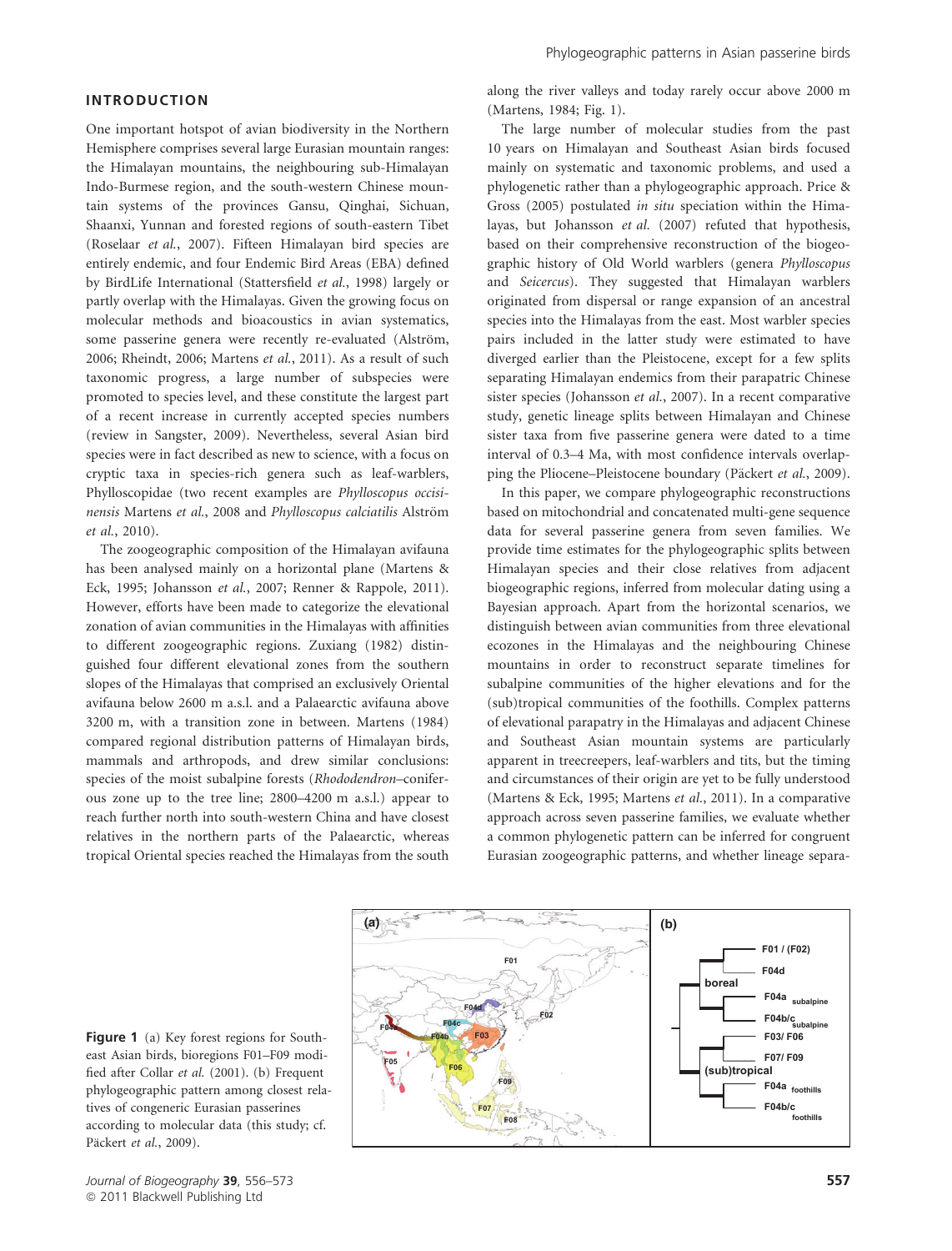## INTRODUCTION

One important hotspot of avian biodiversity in the Northern Hemisphere comprises several large Eurasian mountain ranges: the Himalayan mountains, the neighbouring sub-Himalayan Indo-Burmese region, and the south-western Chinese mountain systems of the provinces Gansu, Qinghai, Sichuan, Shaanxi, Yunnan and forested regions of south-eastern Tibet (Roselaar et al., 2007). Fifteen Himalayan bird species are entirely endemic, and four Endemic Bird Areas (EBA) defined by BirdLife International (Stattersfield et al., 1998) largely or partly overlap with the Himalayas. Given the growing focus on molecular methods and bioacoustics in avian systematics, some passerine genera were recently re-evaluated (Alström, 2006; Rheindt, 2006; Martens et al., 2011). As a result of such taxonomic progress, a large number of subspecies were promoted to species level, and these constitute the largest part of a recent increase in currently accepted species numbers (review in Sangster, 2009). Nevertheless, several Asian bird species were in fact described as new to science, with a focus on cryptic taxa in species-rich genera such as leaf-warblers, Phylloscopidae (two recent examples are Phylloscopus occisinensis Martens et al., 2008 and Phylloscopus calciatilis Alström et al., 2010).

The zoogeographic composition of the Himalayan avifauna has been analysed mainly on a horizontal plane (Martens & Eck, 1995; Johansson et al., 2007; Renner & Rappole, 2011). However, efforts have been made to categorize the elevational zonation of avian communities in the Himalayas with affinities to different zoogeographic regions. Zuxiang (1982) distinguished four different elevational zones from the southern slopes of the Himalayas that comprised an exclusively Oriental avifauna below 2600 m a.s.l. and a Palaearctic avifauna above 3200 m, with a transition zone in between. Martens (1984) compared regional distribution patterns of Himalayan birds, mammals and arthropods, and drew similar conclusions: species of the moist subalpine forests (Rhododendron–coniferous zone up to the tree line; 2800–4200 m a.s.l.) appear to reach further north into south-western China and have closest relatives in the northern parts of the Palaearctic, whereas tropical Oriental species reached the Himalayas from the south along the river valleys and today rarely occur above 2000 m (Martens, 1984; Fig. 1).

The large number of molecular studies from the past 10 years on Himalayan and Southeast Asian birds focused mainly on systematic and taxonomic problems, and used a phylogenetic rather than a phylogeographic approach. Price & Gross (2005) postulated in situ speciation within the Himalayas, but Johansson et al. (2007) refuted that hypothesis, based on their comprehensive reconstruction of the biogeographic history of Old World warblers (genera Phylloscopus and Seicercus). They suggested that Himalayan warblers originated from dispersal or range expansion of an ancestral species into the Himalayas from the east. Most warbler species pairs included in the latter study were estimated to have diverged earlier than the Pleistocene, except for a few splits separating Himalayan endemics from their parapatric Chinese sister species (Johansson et al., 2007). In a recent comparative study, genetic lineage splits between Himalayan and Chinese sister taxa from five passerine genera were dated to a time interval of 0.3–4 Ma, with most confidence intervals overlapping the Pliocene–Pleistocene boundary (Päckert et al., 2009).

In this paper, we compare phylogeographic reconstructions based on mitochondrial and concatenated multi-gene sequence data for several passerine genera from seven families. We provide time estimates for the phylogeographic splits between Himalayan species and their close relatives from adjacent biogeographic regions, inferred from molecular dating using a Bayesian approach. Apart from the horizontal scenarios, we distinguish between avian communities from three elevational ecozones in the Himalayas and the neighbouring Chinese mountains in order to reconstruct separate timelines for subalpine communities of the higher elevations and for the (sub)tropical communities of the foothills. Complex patterns of elevational parapatry in the Himalayas and adjacent Chinese and Southeast Asian mountain systems are particularly apparent in treecreepers, leaf-warblers and tits, but the timing and circumstances of their origin are yet to be fully understood (Martens & Eck, 1995; Martens et al., 2011). In a comparative approach across seven passerine families, we evaluate whether a common phylogenetic pattern can be inferred for congruent Eurasian zoogeographic patterns, and whether lineage separa-



Figure 1 (a) Key forest regions for Southeast Asian birds, bioregions F01–F09 modified after Collar et al. (2001). (b) Frequent phylogeographic pattern among closest relatives of congeneric Eurasian passerines according to molecular data (this study; cf. Päckert et al., 2009).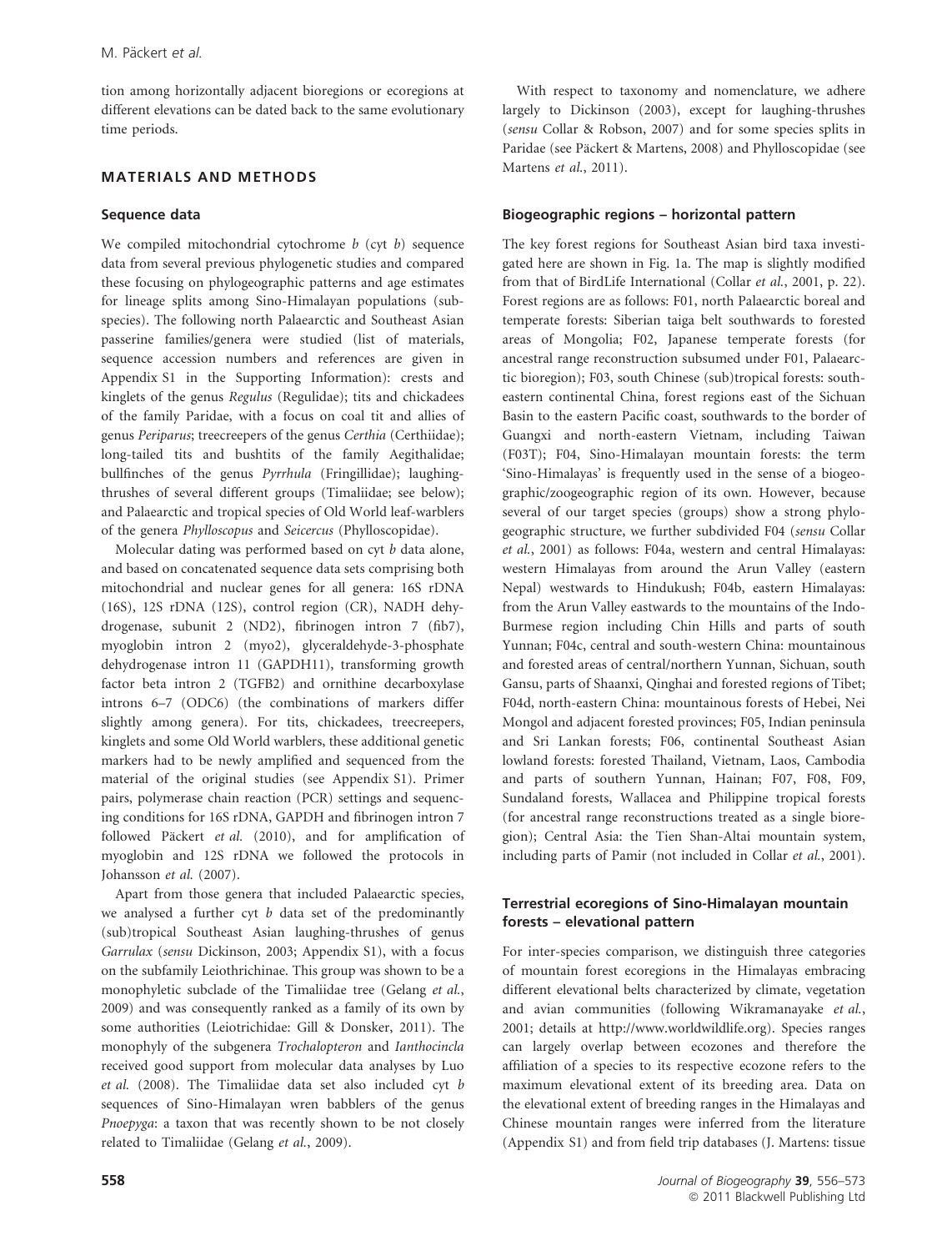tion among horizontally adjacent bioregions or ecoregions at different elevations can be dated back to the same evolutionary time periods.

# MATERIALS AND METHODS

# Sequence data

We compiled mitochondrial cytochrome  $b$  (cyt  $b$ ) sequence data from several previous phylogenetic studies and compared these focusing on phylogeographic patterns and age estimates for lineage splits among Sino-Himalayan populations (subspecies). The following north Palaearctic and Southeast Asian passerine families/genera were studied (list of materials, sequence accession numbers and references are given in Appendix S1 in the Supporting Information): crests and kinglets of the genus Regulus (Regulidae); tits and chickadees of the family Paridae, with a focus on coal tit and allies of genus Periparus; treecreepers of the genus Certhia (Certhiidae); long-tailed tits and bushtits of the family Aegithalidae; bullfinches of the genus Pyrrhula (Fringillidae); laughingthrushes of several different groups (Timaliidae; see below); and Palaearctic and tropical species of Old World leaf-warblers of the genera Phylloscopus and Seicercus (Phylloscopidae).

Molecular dating was performed based on cyt b data alone, and based on concatenated sequence data sets comprising both mitochondrial and nuclear genes for all genera: 16S rDNA (16S), 12S rDNA (12S), control region (CR), NADH dehydrogenase, subunit 2 (ND2), fibrinogen intron 7 (fib7), myoglobin intron 2 (myo2), glyceraldehyde-3-phosphate dehydrogenase intron 11 (GAPDH11), transforming growth factor beta intron 2 (TGFB2) and ornithine decarboxylase introns 6–7 (ODC6) (the combinations of markers differ slightly among genera). For tits, chickadees, treecreepers, kinglets and some Old World warblers, these additional genetic markers had to be newly amplified and sequenced from the material of the original studies (see Appendix S1). Primer pairs, polymerase chain reaction (PCR) settings and sequencing conditions for 16S rDNA, GAPDH and fibrinogen intron 7 followed Päckert et al. (2010), and for amplification of myoglobin and 12S rDNA we followed the protocols in Johansson et al. (2007).

Apart from those genera that included Palaearctic species, we analysed a further cyt  $b$  data set of the predominantly (sub)tropical Southeast Asian laughing-thrushes of genus Garrulax (sensu Dickinson, 2003; Appendix S1), with a focus on the subfamily Leiothrichinae. This group was shown to be a monophyletic subclade of the Timaliidae tree (Gelang et al., 2009) and was consequently ranked as a family of its own by some authorities (Leiotrichidae: Gill & Donsker, 2011). The monophyly of the subgenera Trochalopteron and Ianthocincla received good support from molecular data analyses by Luo et al.  $(2008)$ . The Timaliidae data set also included cyt  $b$ sequences of Sino-Himalayan wren babblers of the genus Pnoepyga: a taxon that was recently shown to be not closely related to Timaliidae (Gelang et al., 2009).

With respect to taxonomy and nomenclature, we adhere largely to Dickinson (2003), except for laughing-thrushes (sensu Collar & Robson, 2007) and for some species splits in Paridae (see Päckert & Martens, 2008) and Phylloscopidae (see Martens et al., 2011).

# Biogeographic regions – horizontal pattern

The key forest regions for Southeast Asian bird taxa investigated here are shown in Fig. 1a. The map is slightly modified from that of BirdLife International (Collar et al., 2001, p. 22). Forest regions are as follows: F01, north Palaearctic boreal and temperate forests: Siberian taiga belt southwards to forested areas of Mongolia; F02, Japanese temperate forests (for ancestral range reconstruction subsumed under F01, Palaearctic bioregion); F03, south Chinese (sub)tropical forests: southeastern continental China, forest regions east of the Sichuan Basin to the eastern Pacific coast, southwards to the border of Guangxi and north-eastern Vietnam, including Taiwan (F03T); F04, Sino-Himalayan mountain forests: the term 'Sino-Himalayas' is frequently used in the sense of a biogeographic/zoogeographic region of its own. However, because several of our target species (groups) show a strong phylogeographic structure, we further subdivided F04 (sensu Collar et al., 2001) as follows: F04a, western and central Himalayas: western Himalayas from around the Arun Valley (eastern Nepal) westwards to Hindukush; F04b, eastern Himalayas: from the Arun Valley eastwards to the mountains of the Indo-Burmese region including Chin Hills and parts of south Yunnan; F04c, central and south-western China: mountainous and forested areas of central/northern Yunnan, Sichuan, south Gansu, parts of Shaanxi, Qinghai and forested regions of Tibet; F04d, north-eastern China: mountainous forests of Hebei, Nei Mongol and adjacent forested provinces; F05, Indian peninsula and Sri Lankan forests; F06, continental Southeast Asian lowland forests: forested Thailand, Vietnam, Laos, Cambodia and parts of southern Yunnan, Hainan; F07, F08, F09, Sundaland forests, Wallacea and Philippine tropical forests (for ancestral range reconstructions treated as a single bioregion); Central Asia: the Tien Shan-Altai mountain system, including parts of Pamir (not included in Collar et al., 2001).

# Terrestrial ecoregions of Sino-Himalayan mountain forests – elevational pattern

For inter-species comparison, we distinguish three categories of mountain forest ecoregions in the Himalayas embracing different elevational belts characterized by climate, vegetation and avian communities (following Wikramanayake et al., 2001; details at http://www.worldwildlife.org). Species ranges can largely overlap between ecozones and therefore the affiliation of a species to its respective ecozone refers to the maximum elevational extent of its breeding area. Data on the elevational extent of breeding ranges in the Himalayas and Chinese mountain ranges were inferred from the literature (Appendix S1) and from field trip databases (J. Martens: tissue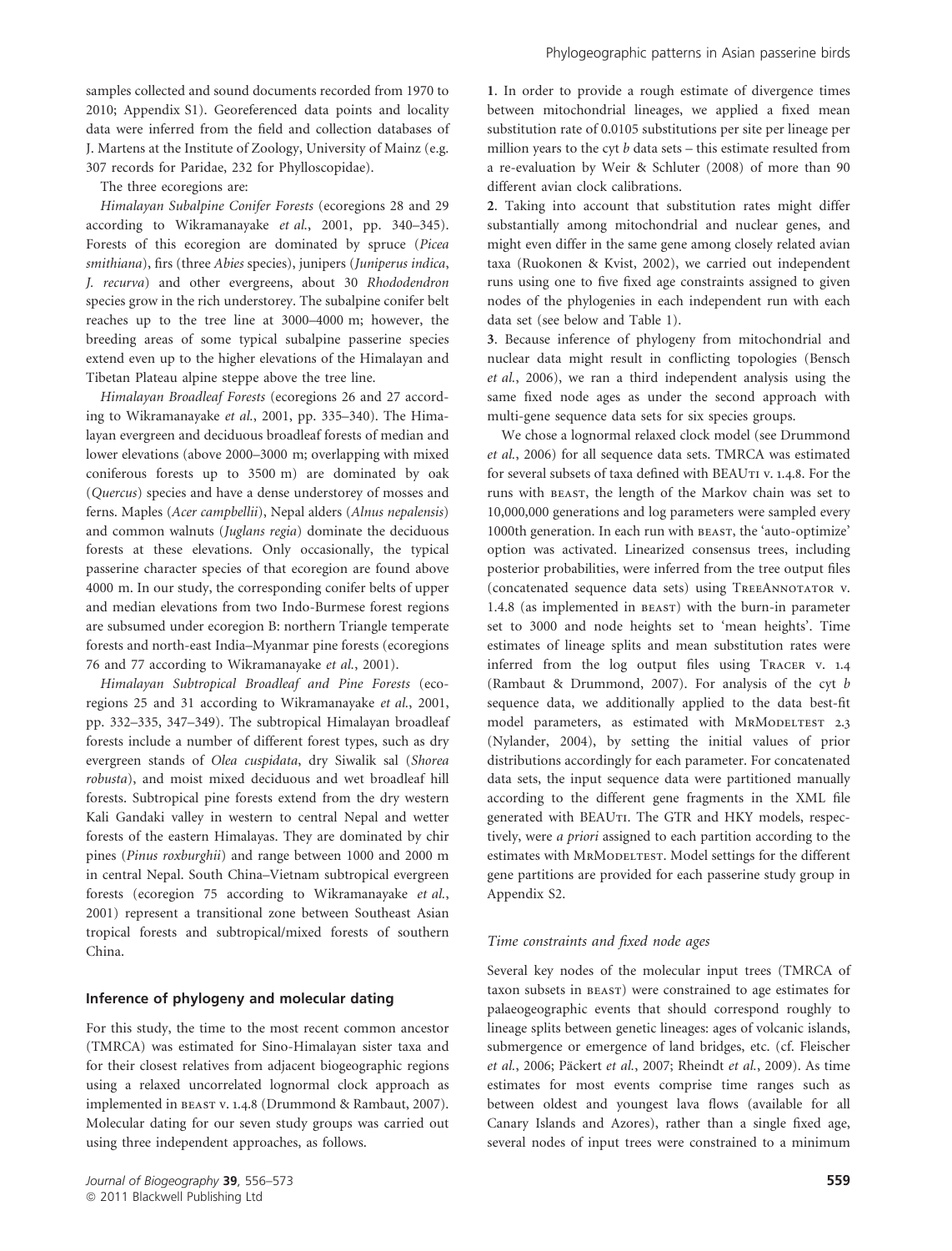samples collected and sound documents recorded from 1970 to 2010; Appendix S1). Georeferenced data points and locality data were inferred from the field and collection databases of J. Martens at the Institute of Zoology, University of Mainz (e.g. 307 records for Paridae, 232 for Phylloscopidae).

The three ecoregions are:

Himalayan Subalpine Conifer Forests (ecoregions 28 and 29 according to Wikramanayake et al., 2001, pp. 340–345). Forests of this ecoregion are dominated by spruce (Picea smithiana), firs (three Abies species), junipers (Juniperus indica, J. recurva) and other evergreens, about 30 Rhododendron species grow in the rich understorey. The subalpine conifer belt reaches up to the tree line at 3000–4000 m; however, the breeding areas of some typical subalpine passerine species extend even up to the higher elevations of the Himalayan and Tibetan Plateau alpine steppe above the tree line.

Himalayan Broadleaf Forests (ecoregions 26 and 27 according to Wikramanayake et al., 2001, pp. 335–340). The Himalayan evergreen and deciduous broadleaf forests of median and lower elevations (above 2000–3000 m; overlapping with mixed coniferous forests up to 3500 m) are dominated by oak (Quercus) species and have a dense understorey of mosses and ferns. Maples (Acer campbellii), Nepal alders (Alnus nepalensis) and common walnuts (Juglans regia) dominate the deciduous forests at these elevations. Only occasionally, the typical passerine character species of that ecoregion are found above 4000 m. In our study, the corresponding conifer belts of upper and median elevations from two Indo-Burmese forest regions are subsumed under ecoregion B: northern Triangle temperate forests and north-east India–Myanmar pine forests (ecoregions 76 and 77 according to Wikramanayake et al., 2001).

Himalayan Subtropical Broadleaf and Pine Forests (ecoregions 25 and 31 according to Wikramanayake et al., 2001, pp. 332–335, 347–349). The subtropical Himalayan broadleaf forests include a number of different forest types, such as dry evergreen stands of Olea cuspidata, dry Siwalik sal (Shorea robusta), and moist mixed deciduous and wet broadleaf hill forests. Subtropical pine forests extend from the dry western Kali Gandaki valley in western to central Nepal and wetter forests of the eastern Himalayas. They are dominated by chir pines (Pinus roxburghii) and range between 1000 and 2000 m in central Nepal. South China–Vietnam subtropical evergreen forests (ecoregion 75 according to Wikramanayake et al., 2001) represent a transitional zone between Southeast Asian tropical forests and subtropical/mixed forests of southern China.

#### Inference of phylogeny and molecular dating

For this study, the time to the most recent common ancestor (TMRCA) was estimated for Sino-Himalayan sister taxa and for their closest relatives from adjacent biogeographic regions using a relaxed uncorrelated lognormal clock approach as implemented in beast v. 1.4.8 (Drummond & Rambaut, 2007). Molecular dating for our seven study groups was carried out using three independent approaches, as follows.

1. In order to provide a rough estimate of divergence times between mitochondrial lineages, we applied a fixed mean substitution rate of 0.0105 substitutions per site per lineage per million years to the cyt  $b$  data sets – this estimate resulted from a re-evaluation by Weir & Schluter (2008) of more than 90 different avian clock calibrations.

2. Taking into account that substitution rates might differ substantially among mitochondrial and nuclear genes, and might even differ in the same gene among closely related avian taxa (Ruokonen & Kvist, 2002), we carried out independent runs using one to five fixed age constraints assigned to given nodes of the phylogenies in each independent run with each data set (see below and Table 1).

3. Because inference of phylogeny from mitochondrial and nuclear data might result in conflicting topologies (Bensch et al., 2006), we ran a third independent analysis using the same fixed node ages as under the second approach with multi-gene sequence data sets for six species groups.

We chose a lognormal relaxed clock model (see Drummond et al., 2006) for all sequence data sets. TMRCA was estimated for several subsets of taxa defined with BEAUTI v. 1.4.8. For the runs with beast, the length of the Markov chain was set to 10,000,000 generations and log parameters were sampled every 1000th generation. In each run with BEAST, the 'auto-optimize' option was activated. Linearized consensus trees, including posterior probabilities, were inferred from the tree output files (concatenated sequence data sets) using TREEANNOTATOR V. 1.4.8 (as implemented in beast) with the burn-in parameter set to 3000 and node heights set to 'mean heights'. Time estimates of lineage splits and mean substitution rates were inferred from the log output files using Tracer v. 1.4 (Rambaut & Drummond, 2007). For analysis of the cyt b sequence data, we additionally applied to the data best-fit model parameters, as estimated with MRMODELTEST 2.3 (Nylander, 2004), by setting the initial values of prior distributions accordingly for each parameter. For concatenated data sets, the input sequence data were partitioned manually according to the different gene fragments in the XML file generated with BEAUTI. The GTR and HKY models, respectively, were a priori assigned to each partition according to the estimates with MRMODELTEST. Model settings for the different gene partitions are provided for each passerine study group in Appendix S2.

#### Time constraints and fixed node ages

Several key nodes of the molecular input trees (TMRCA of taxon subsets in beast) were constrained to age estimates for palaeogeographic events that should correspond roughly to lineage splits between genetic lineages: ages of volcanic islands, submergence or emergence of land bridges, etc. (cf. Fleischer et al., 2006; Päckert et al., 2007; Rheindt et al., 2009). As time estimates for most events comprise time ranges such as between oldest and youngest lava flows (available for all Canary Islands and Azores), rather than a single fixed age, several nodes of input trees were constrained to a minimum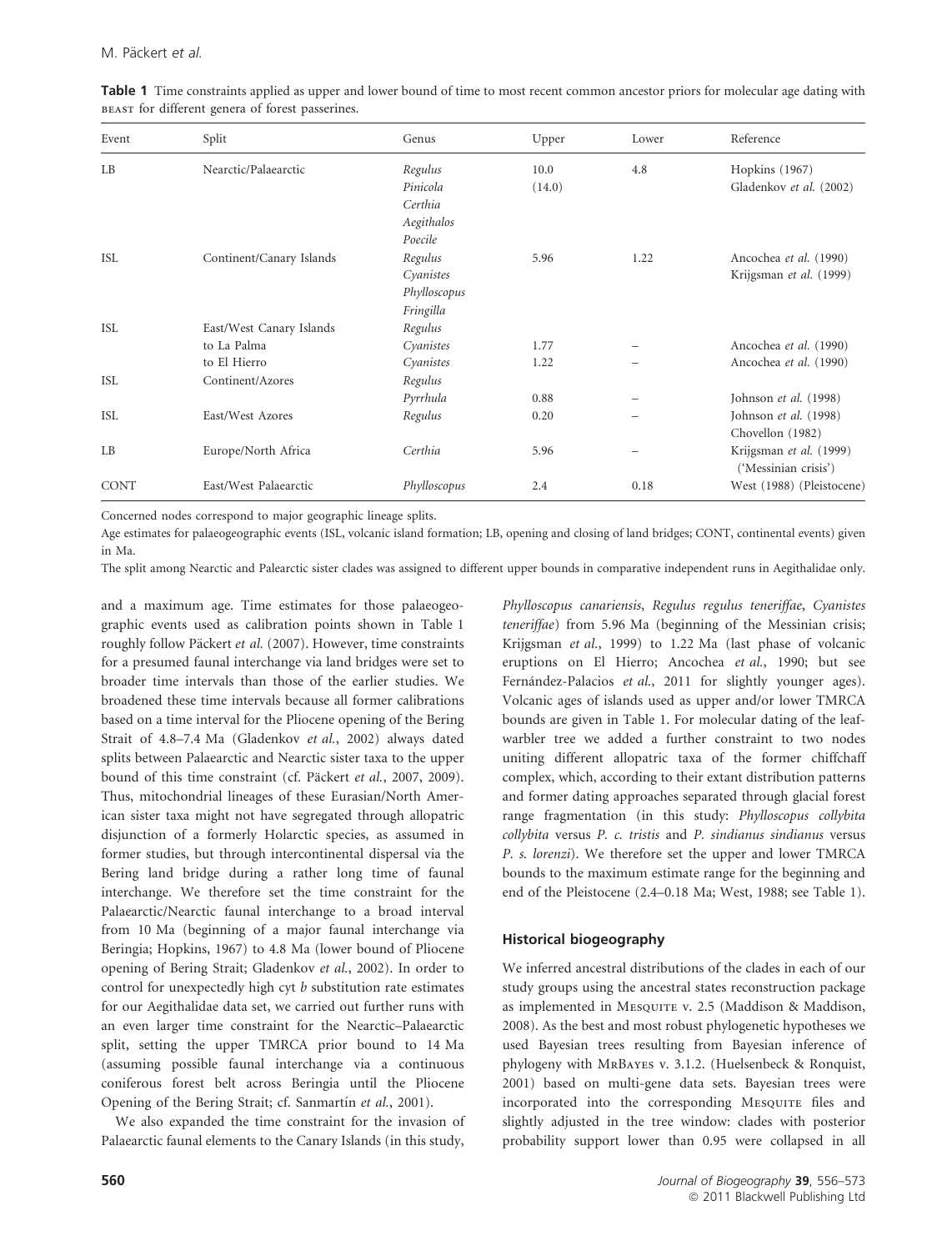| Event       | Split                    | Genus        | Upper  | Lower | Reference                 |
|-------------|--------------------------|--------------|--------|-------|---------------------------|
| LB          | Nearctic/Palaearctic     | Regulus      | 10.0   | 4.8   | Hopkins (1967)            |
|             |                          | Pinicola     | (14.0) |       | Gladenkov et al. (2002)   |
|             |                          | Certhia      |        |       |                           |
|             |                          | Aegithalos   |        |       |                           |
|             |                          | Poecile      |        |       |                           |
| <b>ISL</b>  | Continent/Canary Islands | Regulus      | 5.96   | 1.22  | Ancochea et al. (1990)    |
|             |                          | Cyanistes    |        |       | Krijgsman et al. (1999)   |
|             |                          | Phylloscopus |        |       |                           |
|             |                          | Fringilla    |        |       |                           |
| <b>ISL</b>  | East/West Canary Islands | Regulus      |        |       |                           |
|             | to La Palma              | Cyanistes    | 1.77   |       | Ancochea et al. (1990)    |
|             | to El Hierro             | Cyanistes    | 1.22   |       | Ancochea et al. (1990)    |
| <b>ISL</b>  | Continent/Azores         | Regulus      |        |       |                           |
|             |                          | Pyrrhula     | 0.88   |       | Johnson et al. (1998)     |
| <b>ISL</b>  | East/West Azores         | Regulus      | 0.20   |       | Johnson et al. (1998)     |
|             |                          |              |        |       | Chovellon (1982)          |
| LB          | Europe/North Africa      | Certhia      | 5.96   |       | Krijgsman et al. (1999)   |
|             |                          |              |        |       | ('Messinian crisis')      |
| <b>CONT</b> | East/West Palaearctic    | Phylloscopus | 2.4    | 0.18  | West (1988) (Pleistocene) |

Table 1 Time constraints applied as upper and lower bound of time to most recent common ancestor priors for molecular age dating with beast for different genera of forest passerines.

Concerned nodes correspond to major geographic lineage splits.

Age estimates for palaeogeographic events (ISL, volcanic island formation; LB, opening and closing of land bridges; CONT, continental events) given in Ma.

The split among Nearctic and Palearctic sister clades was assigned to different upper bounds in comparative independent runs in Aegithalidae only.

and a maximum age. Time estimates for those palaeogeographic events used as calibration points shown in Table 1 roughly follow Päckert et al. (2007). However, time constraints for a presumed faunal interchange via land bridges were set to broader time intervals than those of the earlier studies. We broadened these time intervals because all former calibrations based on a time interval for the Pliocene opening of the Bering Strait of 4.8–7.4 Ma (Gladenkov et al., 2002) always dated splits between Palaearctic and Nearctic sister taxa to the upper bound of this time constraint (cf. Päckert et al., 2007, 2009). Thus, mitochondrial lineages of these Eurasian/North American sister taxa might not have segregated through allopatric disjunction of a formerly Holarctic species, as assumed in former studies, but through intercontinental dispersal via the Bering land bridge during a rather long time of faunal interchange. We therefore set the time constraint for the Palaearctic/Nearctic faunal interchange to a broad interval from 10 Ma (beginning of a major faunal interchange via Beringia; Hopkins, 1967) to 4.8 Ma (lower bound of Pliocene opening of Bering Strait; Gladenkov et al., 2002). In order to control for unexpectedly high cyt b substitution rate estimates for our Aegithalidae data set, we carried out further runs with an even larger time constraint for the Nearctic–Palaearctic split, setting the upper TMRCA prior bound to 14 Ma (assuming possible faunal interchange via a continuous coniferous forest belt across Beringia until the Pliocene Opening of the Bering Strait; cf. Sanmartín et al., 2001).

We also expanded the time constraint for the invasion of Palaearctic faunal elements to the Canary Islands (in this study, Phylloscopus canariensis, Regulus regulus teneriffae, Cyanistes teneriffae) from 5.96 Ma (beginning of the Messinian crisis; Krijgsman et al., 1999) to 1.22 Ma (last phase of volcanic eruptions on El Hierro; Ancochea et al., 1990; but see Fernández-Palacios et al., 2011 for slightly younger ages). Volcanic ages of islands used as upper and/or lower TMRCA bounds are given in Table 1. For molecular dating of the leafwarbler tree we added a further constraint to two nodes uniting different allopatric taxa of the former chiffchaff complex, which, according to their extant distribution patterns and former dating approaches separated through glacial forest range fragmentation (in this study: Phylloscopus collybita collybita versus P. c. tristis and P. sindianus sindianus versus P. s. lorenzi). We therefore set the upper and lower TMRCA bounds to the maximum estimate range for the beginning and end of the Pleistocene (2.4–0.18 Ma; West, 1988; see Table 1).

## Historical biogeography

We inferred ancestral distributions of the clades in each of our study groups using the ancestral states reconstruction package as implemented in Mesquite v. 2.5 (Maddison & Maddison, 2008). As the best and most robust phylogenetic hypotheses we used Bayesian trees resulting from Bayesian inference of phylogeny with MrBayes v. 3.1.2. (Huelsenbeck & Ronquist, 2001) based on multi-gene data sets. Bayesian trees were incorporated into the corresponding MESQUITE files and slightly adjusted in the tree window: clades with posterior probability support lower than 0.95 were collapsed in all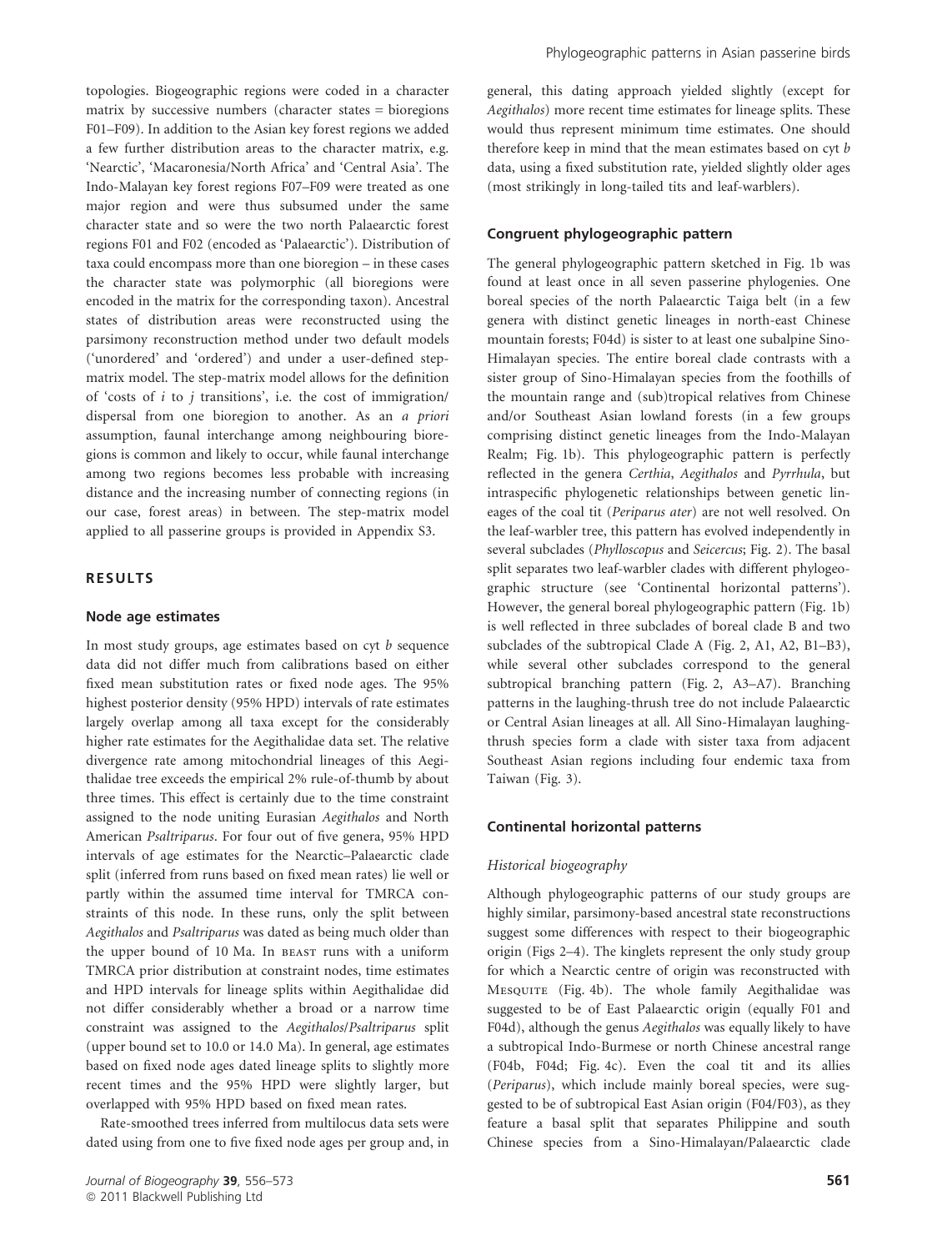topologies. Biogeographic regions were coded in a character matrix by successive numbers (character states = bioregions F01–F09). In addition to the Asian key forest regions we added a few further distribution areas to the character matrix, e.g. 'Nearctic', 'Macaronesia/North Africa' and 'Central Asia'. The Indo-Malayan key forest regions F07–F09 were treated as one major region and were thus subsumed under the same character state and so were the two north Palaearctic forest regions F01 and F02 (encoded as 'Palaearctic'). Distribution of taxa could encompass more than one bioregion – in these cases the character state was polymorphic (all bioregions were encoded in the matrix for the corresponding taxon). Ancestral states of distribution areas were reconstructed using the parsimony reconstruction method under two default models ('unordered' and 'ordered') and under a user-defined stepmatrix model. The step-matrix model allows for the definition of 'costs of  $i$  to  $j$  transitions', i.e. the cost of immigration/ dispersal from one bioregion to another. As an a priori assumption, faunal interchange among neighbouring bioregions is common and likely to occur, while faunal interchange among two regions becomes less probable with increasing distance and the increasing number of connecting regions (in our case, forest areas) in between. The step-matrix model applied to all passerine groups is provided in Appendix S3.

## RESULTS

#### Node age estimates

In most study groups, age estimates based on cyt b sequence data did not differ much from calibrations based on either fixed mean substitution rates or fixed node ages. The 95% highest posterior density (95% HPD) intervals of rate estimates largely overlap among all taxa except for the considerably higher rate estimates for the Aegithalidae data set. The relative divergence rate among mitochondrial lineages of this Aegithalidae tree exceeds the empirical 2% rule-of-thumb by about three times. This effect is certainly due to the time constraint assigned to the node uniting Eurasian Aegithalos and North American Psaltriparus. For four out of five genera, 95% HPD intervals of age estimates for the Nearctic–Palaearctic clade split (inferred from runs based on fixed mean rates) lie well or partly within the assumed time interval for TMRCA constraints of this node. In these runs, only the split between Aegithalos and Psaltriparus was dated as being much older than the upper bound of 10 Ma. In BEAST runs with a uniform TMRCA prior distribution at constraint nodes, time estimates and HPD intervals for lineage splits within Aegithalidae did not differ considerably whether a broad or a narrow time constraint was assigned to the Aegithalos/Psaltriparus split (upper bound set to 10.0 or 14.0 Ma). In general, age estimates based on fixed node ages dated lineage splits to slightly more recent times and the 95% HPD were slightly larger, but overlapped with 95% HPD based on fixed mean rates.

Rate-smoothed trees inferred from multilocus data sets were dated using from one to five fixed node ages per group and, in

general, this dating approach yielded slightly (except for Aegithalos) more recent time estimates for lineage splits. These would thus represent minimum time estimates. One should therefore keep in mind that the mean estimates based on cyt b data, using a fixed substitution rate, yielded slightly older ages (most strikingly in long-tailed tits and leaf-warblers).

## Congruent phylogeographic pattern

The general phylogeographic pattern sketched in Fig. 1b was found at least once in all seven passerine phylogenies. One boreal species of the north Palaearctic Taiga belt (in a few genera with distinct genetic lineages in north-east Chinese mountain forests; F04d) is sister to at least one subalpine Sino-Himalayan species. The entire boreal clade contrasts with a sister group of Sino-Himalayan species from the foothills of the mountain range and (sub)tropical relatives from Chinese and/or Southeast Asian lowland forests (in a few groups comprising distinct genetic lineages from the Indo-Malayan Realm; Fig. 1b). This phylogeographic pattern is perfectly reflected in the genera Certhia, Aegithalos and Pyrrhula, but intraspecific phylogenetic relationships between genetic lineages of the coal tit (Periparus ater) are not well resolved. On the leaf-warbler tree, this pattern has evolved independently in several subclades (Phylloscopus and Seicercus; Fig. 2). The basal split separates two leaf-warbler clades with different phylogeographic structure (see 'Continental horizontal patterns'). However, the general boreal phylogeographic pattern (Fig. 1b) is well reflected in three subclades of boreal clade B and two subclades of the subtropical Clade A (Fig. 2, A1, A2, B1–B3), while several other subclades correspond to the general subtropical branching pattern (Fig. 2, A3–A7). Branching patterns in the laughing-thrush tree do not include Palaearctic or Central Asian lineages at all. All Sino-Himalayan laughingthrush species form a clade with sister taxa from adjacent Southeast Asian regions including four endemic taxa from Taiwan (Fig. 3).

## Continental horizontal patterns

## Historical biogeography

Although phylogeographic patterns of our study groups are highly similar, parsimony-based ancestral state reconstructions suggest some differences with respect to their biogeographic origin (Figs 2–4). The kinglets represent the only study group for which a Nearctic centre of origin was reconstructed with Mesquite (Fig. 4b). The whole family Aegithalidae was suggested to be of East Palaearctic origin (equally F01 and F04d), although the genus Aegithalos was equally likely to have a subtropical Indo-Burmese or north Chinese ancestral range (F04b, F04d; Fig. 4c). Even the coal tit and its allies (Periparus), which include mainly boreal species, were suggested to be of subtropical East Asian origin (F04/F03), as they feature a basal split that separates Philippine and south Chinese species from a Sino-Himalayan/Palaearctic clade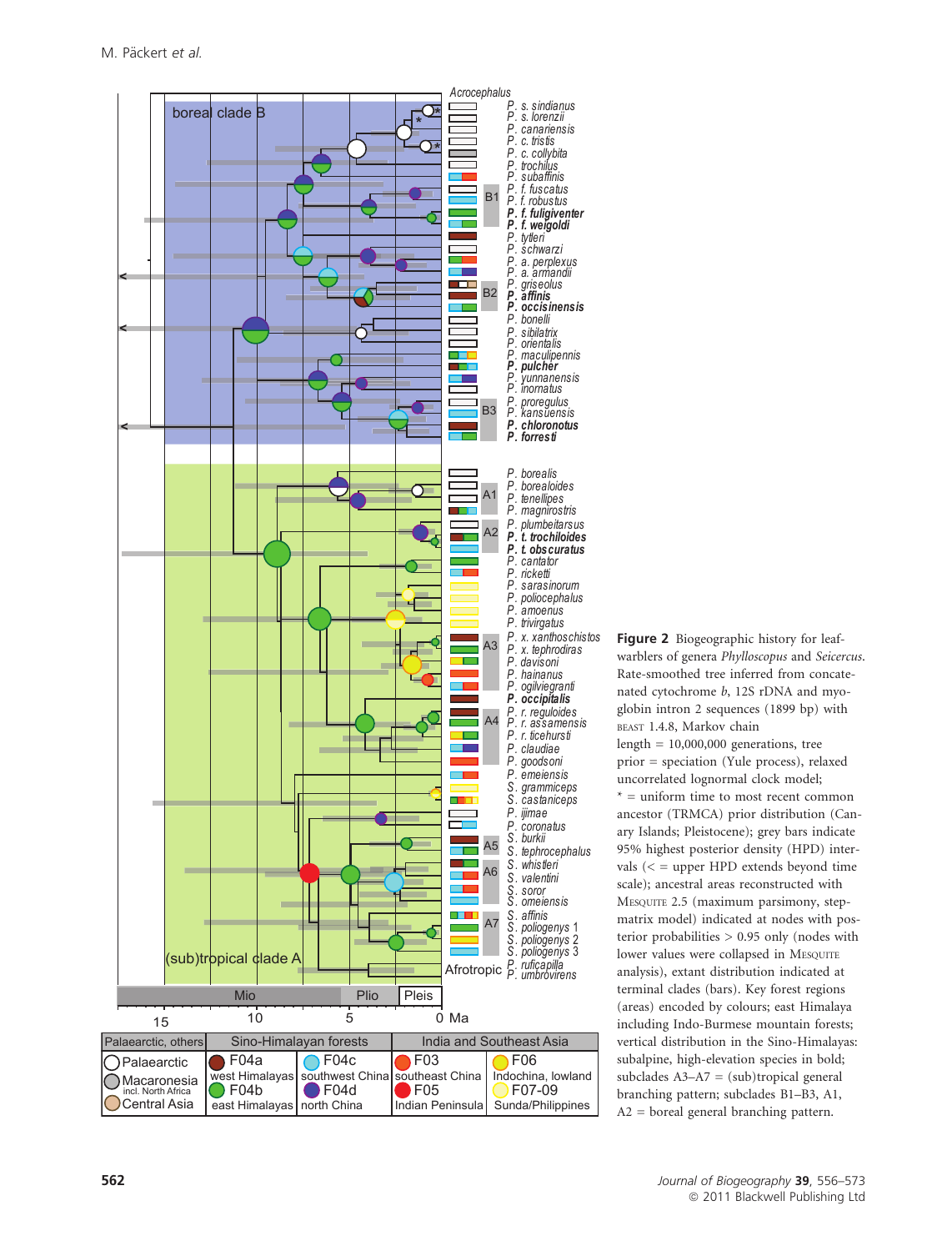

Figure 2 Biogeographic history for leafwarblers of genera Phylloscopus and Seicercus. Rate-smoothed tree inferred from concatenated cytochrome b, 12S rDNA and myoglobin intron 2 sequences (1899 bp) with BEAST 1.4.8, Markov chain length =  $10,000,000$  generations, tree prior = speciation (Yule process), relaxed uncorrelated lognormal clock model;  $* =$  uniform time to most recent common ancestor (TRMCA) prior distribution (Canary Islands; Pleistocene); grey bars indicate 95% highest posterior density (HPD) intervals (< = upper HPD extends beyond time scale); ancestral areas reconstructed with MESQUITE 2.5 (maximum parsimony, stepmatrix model) indicated at nodes with posterior probabilities > 0.95 only (nodes with lower values were collapsed in MESQUITE analysis), extant distribution indicated at terminal clades (bars). Key forest regions (areas) encoded by colours; east Himalaya including Indo-Burmese mountain forests; vertical distribution in the Sino-Himalayas: subalpine, high-elevation species in bold; subclades A3–A7 = (sub)tropical general branching pattern; subclades B1–B3, A1, A2 = boreal general branching pattern.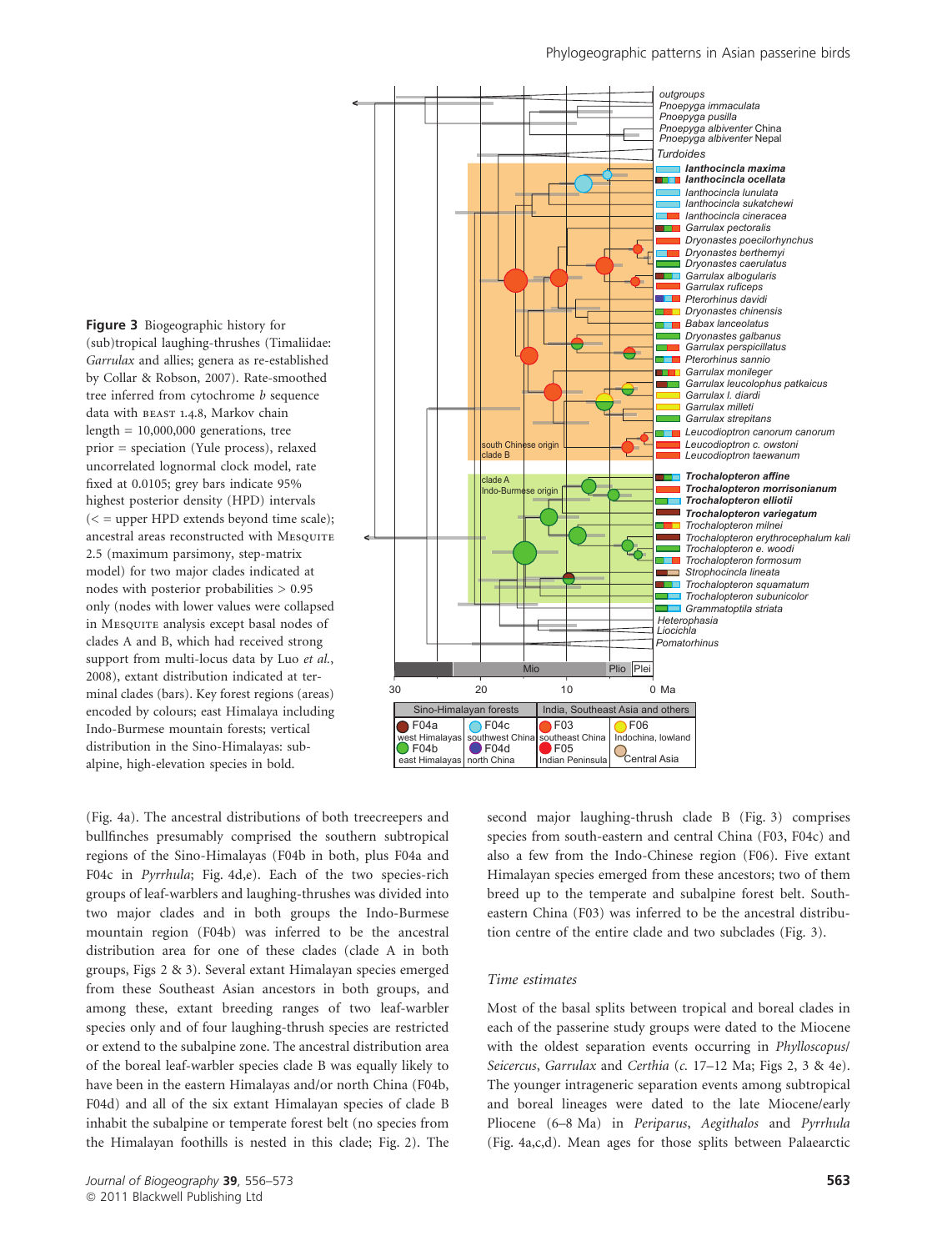

(sub)tropical laughing-thrushes (Timaliidae: Garrulax and allies; genera as re-established by Collar & Robson, 2007). Rate-smoothed tree inferred from cytochrome b sequence data with BEAST 1.4.8, Markov chain length  $= 10,000,000$  generations, tree prior = speciation (Yule process), relaxed uncorrelated lognormal clock model, rate fixed at 0.0105; grey bars indicate 95% highest posterior density (HPD) intervals  $(<$  = upper HPD extends beyond time scale); ancestral areas reconstructed with MESQUITE 2.5 (maximum parsimony, step-matrix model) for two major clades indicated at nodes with posterior probabilities > 0.95 only (nodes with lower values were collapsed in MESQUITE analysis except basal nodes of clades A and B, which had received strong support from multi-locus data by Luo et al., 2008), extant distribution indicated at terminal clades (bars). Key forest regions (areas) encoded by colours; east Himalaya including Indo-Burmese mountain forests; vertical distribution in the Sino-Himalayas: subalpine, high-elevation species in bold.

Figure 3 Biogeographic history for

(Fig. 4a). The ancestral distributions of both treecreepers and bullfinches presumably comprised the southern subtropical regions of the Sino-Himalayas (F04b in both, plus F04a and F04c in Pyrrhula; Fig. 4d,e). Each of the two species-rich groups of leaf-warblers and laughing-thrushes was divided into two major clades and in both groups the Indo-Burmese mountain region (F04b) was inferred to be the ancestral distribution area for one of these clades (clade A in both groups, Figs 2 & 3). Several extant Himalayan species emerged from these Southeast Asian ancestors in both groups, and among these, extant breeding ranges of two leaf-warbler species only and of four laughing-thrush species are restricted or extend to the subalpine zone. The ancestral distribution area of the boreal leaf-warbler species clade B was equally likely to have been in the eastern Himalayas and/or north China (F04b, F04d) and all of the six extant Himalayan species of clade B inhabit the subalpine or temperate forest belt (no species from the Himalayan foothills is nested in this clade; Fig. 2). The second major laughing-thrush clade B (Fig. 3) comprises species from south-eastern and central China (F03, F04c) and also a few from the Indo-Chinese region (F06). Five extant Himalayan species emerged from these ancestors; two of them breed up to the temperate and subalpine forest belt. Southeastern China (F03) was inferred to be the ancestral distribution centre of the entire clade and two subclades (Fig. 3).

## Time estimates

Most of the basal splits between tropical and boreal clades in each of the passerine study groups were dated to the Miocene with the oldest separation events occurring in Phylloscopus/ Seicercus, Garrulax and Certhia (c. 17-12 Ma; Figs 2, 3 & 4e). The younger intrageneric separation events among subtropical and boreal lineages were dated to the late Miocene/early Pliocene (6–8 Ma) in Periparus, Aegithalos and Pyrrhula (Fig. 4a,c,d). Mean ages for those splits between Palaearctic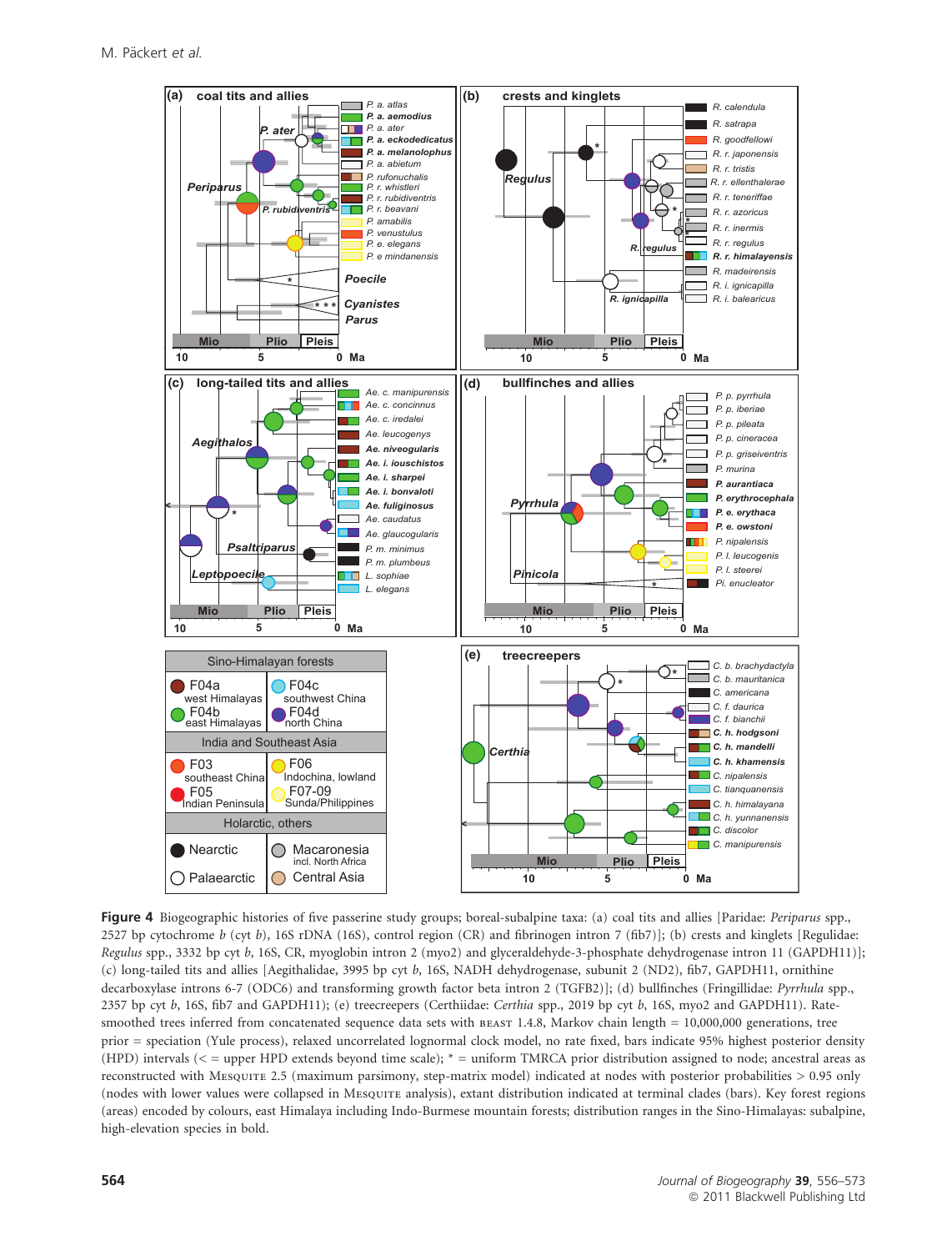

Figure 4 Biogeographic histories of five passerine study groups; boreal-subalpine taxa: (a) coal tits and allies [Paridae: Periparus spp., 2527 bp cytochrome  $b$  (cyt  $b$ ), 16S rDNA (16S), control region (CR) and fibrinogen intron 7 (fib7)]; (b) crests and kinglets [Regulidae: Regulus spp., 3332 bp cyt b, 16S, CR, myoglobin intron 2 (myo2) and glyceraldehyde-3-phosphate dehydrogenase intron 11 (GAPDH11)]; (c) long-tailed tits and allies [Aegithalidae, 3995 bp cyt b, 16S, NADH dehydrogenase, subunit 2 (ND2), fib7, GAPDH11, ornithine decarboxylase introns 6-7 (ODC6) and transforming growth factor beta intron 2 (TGFB2)]; (d) bullfinches (Fringillidae: Pyrrhula spp., 2357 bp cyt  $b$ , 16S, fib7 and GAPDH11); (e) treecreepers (Certhiidae: Certhia spp., 2019 bp cyt  $b$ , 16S, myo2 and GAPDH11). Ratesmoothed trees inferred from concatenated sequence data sets with BEAST 1.4.8, Markov chain length = 10,000,000 generations, tree prior = speciation (Yule process), relaxed uncorrelated lognormal clock model, no rate fixed, bars indicate 95% highest posterior density (HPD) intervals (< = upper HPD extends beyond time scale); \* = uniform TMRCA prior distribution assigned to node; ancestral areas as reconstructed with Mesquite 2.5 (maximum parsimony, step-matrix model) indicated at nodes with posterior probabilities > 0.95 only (nodes with lower values were collapsed in Mesquite analysis), extant distribution indicated at terminal clades (bars). Key forest regions (areas) encoded by colours, east Himalaya including Indo-Burmese mountain forests; distribution ranges in the Sino-Himalayas: subalpine, high-elevation species in bold.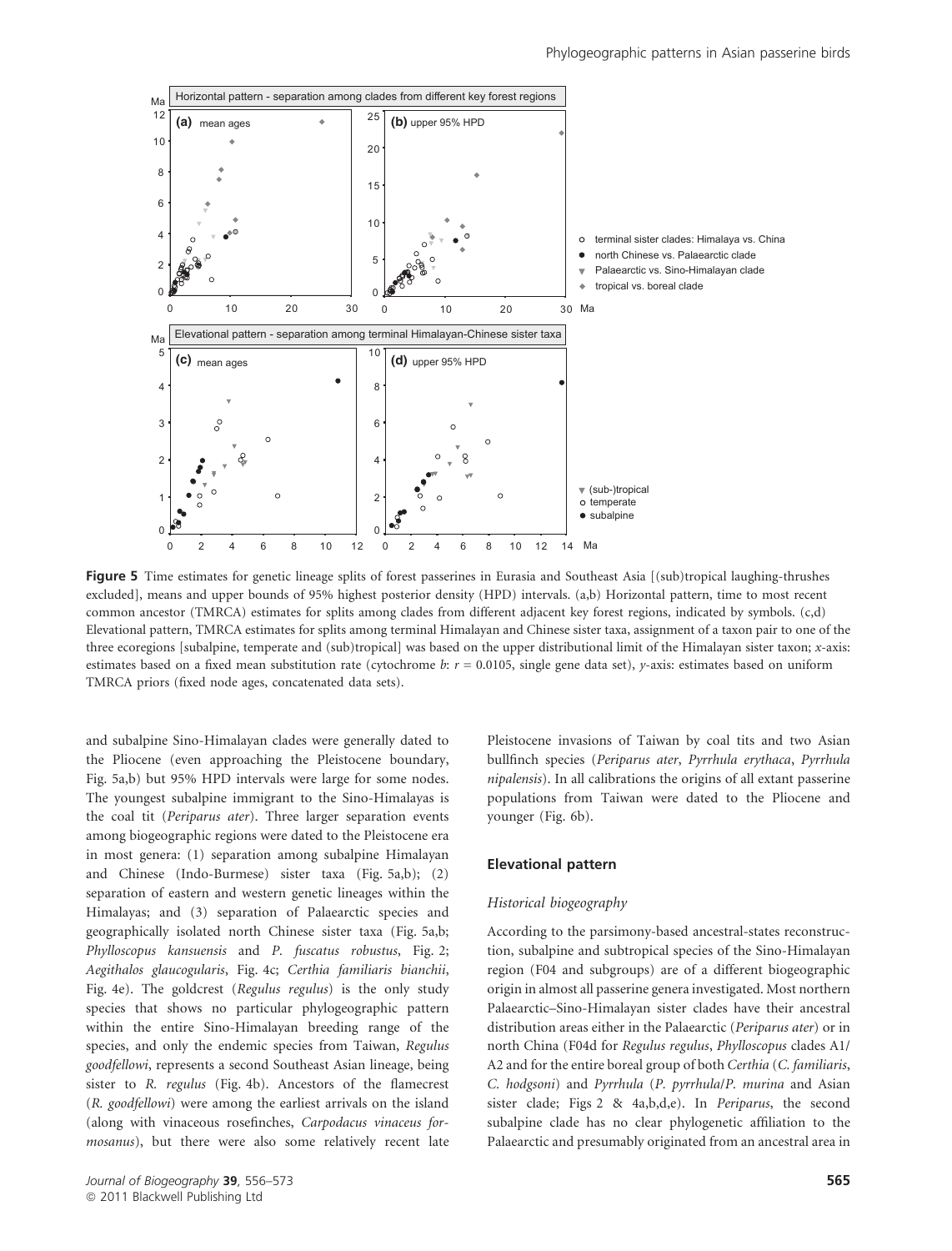

Figure 5 Time estimates for genetic lineage splits of forest passerines in Eurasia and Southeast Asia [(sub)tropical laughing-thrushes excluded], means and upper bounds of 95% highest posterior density (HPD) intervals. (a,b) Horizontal pattern, time to most recent common ancestor (TMRCA) estimates for splits among clades from different adjacent key forest regions, indicated by symbols. (c,d) Elevational pattern, TMRCA estimates for splits among terminal Himalayan and Chinese sister taxa, assignment of a taxon pair to one of the three ecoregions [subalpine, temperate and (sub)tropical] was based on the upper distributional limit of the Himalayan sister taxon; x-axis: estimates based on a fixed mean substitution rate (cytochrome  $b$ :  $r = 0.0105$ , single gene data set),  $y$ -axis: estimates based on uniform TMRCA priors (fixed node ages, concatenated data sets).

and subalpine Sino-Himalayan clades were generally dated to the Pliocene (even approaching the Pleistocene boundary, Fig. 5a,b) but 95% HPD intervals were large for some nodes. The youngest subalpine immigrant to the Sino-Himalayas is the coal tit (Periparus ater). Three larger separation events among biogeographic regions were dated to the Pleistocene era in most genera: (1) separation among subalpine Himalayan and Chinese (Indo-Burmese) sister taxa (Fig. 5a,b); (2) separation of eastern and western genetic lineages within the Himalayas; and (3) separation of Palaearctic species and geographically isolated north Chinese sister taxa (Fig. 5a,b; Phylloscopus kansuensis and P. fuscatus robustus, Fig. 2; Aegithalos glaucogularis, Fig. 4c; Certhia familiaris bianchii, Fig. 4e). The goldcrest (Regulus regulus) is the only study species that shows no particular phylogeographic pattern within the entire Sino-Himalayan breeding range of the species, and only the endemic species from Taiwan, Regulus goodfellowi, represents a second Southeast Asian lineage, being sister to R. regulus (Fig. 4b). Ancestors of the flamecrest (R. goodfellowi) were among the earliest arrivals on the island (along with vinaceous rosefinches, Carpodacus vinaceus formosanus), but there were also some relatively recent late

Pleistocene invasions of Taiwan by coal tits and two Asian bullfinch species (Periparus ater, Pyrrhula erythaca, Pyrrhula nipalensis). In all calibrations the origins of all extant passerine populations from Taiwan were dated to the Pliocene and younger (Fig. 6b).

#### Elevational pattern

#### Historical biogeography

According to the parsimony-based ancestral-states reconstruction, subalpine and subtropical species of the Sino-Himalayan region (F04 and subgroups) are of a different biogeographic origin in almost all passerine genera investigated. Most northern Palaearctic–Sino-Himalayan sister clades have their ancestral distribution areas either in the Palaearctic (Periparus ater) or in north China (F04d for Regulus regulus, Phylloscopus clades A1/ A2 and for the entire boreal group of both Certhia (C. familiaris, C. hodgsoni) and Pyrrhula (P. pyrrhula/P. murina and Asian sister clade; Figs 2 & 4a,b,d,e). In Periparus, the second subalpine clade has no clear phylogenetic affiliation to the Palaearctic and presumably originated from an ancestral area in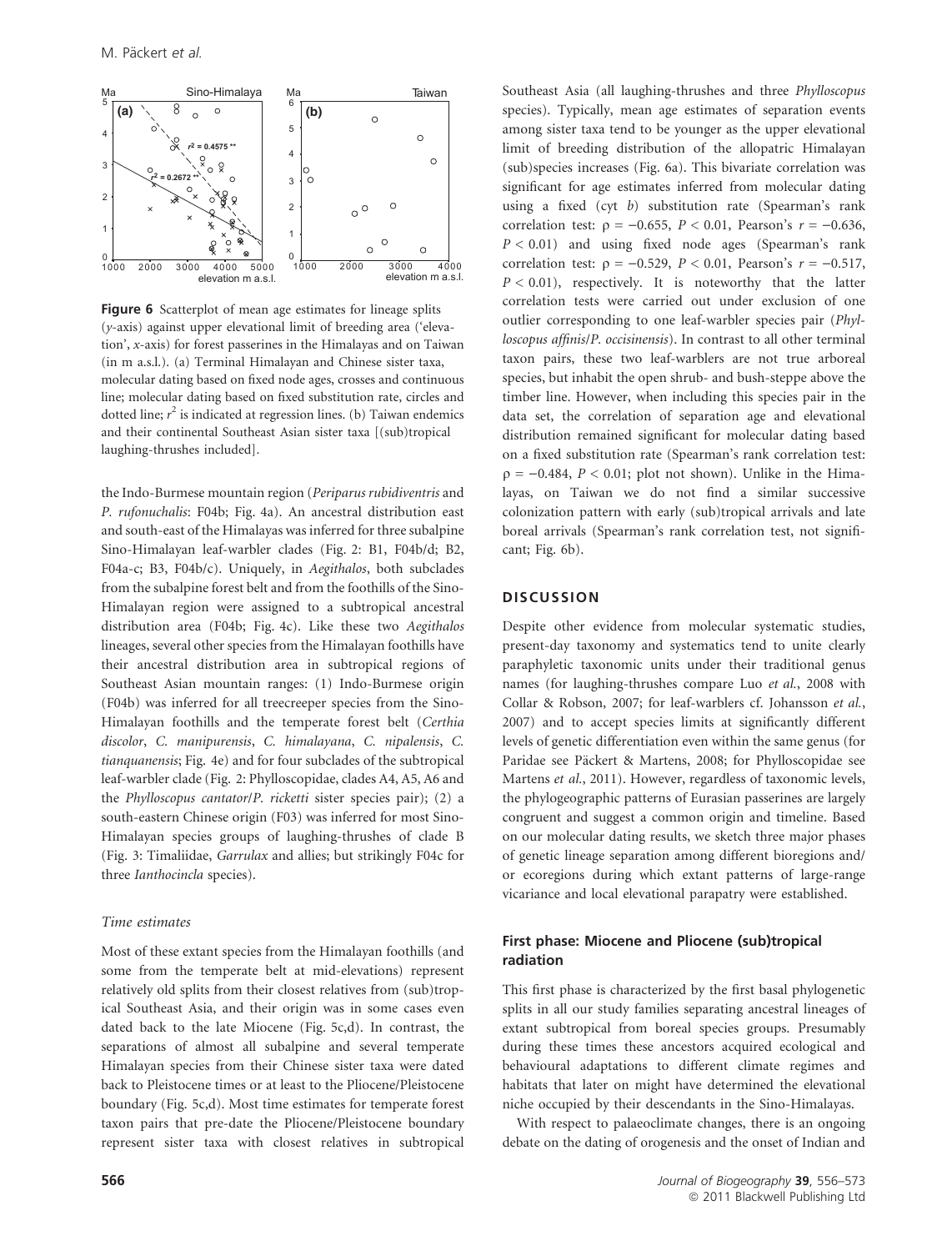

Figure 6 Scatterplot of mean age estimates for lineage splits (y-axis) against upper elevational limit of breeding area ('elevation', x-axis) for forest passerines in the Himalayas and on Taiwan (in m a.s.l.). (a) Terminal Himalayan and Chinese sister taxa, molecular dating based on fixed node ages, crosses and continuous line; molecular dating based on fixed substitution rate, circles and dotted line;  $r^2$  is indicated at regression lines. (b) Taiwan endemics and their continental Southeast Asian sister taxa [(sub)tropical laughing-thrushes included].

the Indo-Burmese mountain region (Periparus rubidiventris and P. rufonuchalis: F04b; Fig. 4a). An ancestral distribution east and south-east of the Himalayas was inferred for three subalpine Sino-Himalayan leaf-warbler clades (Fig. 2: B1, F04b/d; B2, F04a-c; B3, F04b/c). Uniquely, in Aegithalos, both subclades from the subalpine forest belt and from the foothills of the Sino-Himalayan region were assigned to a subtropical ancestral distribution area (F04b; Fig. 4c). Like these two Aegithalos lineages, several other species from the Himalayan foothills have their ancestral distribution area in subtropical regions of Southeast Asian mountain ranges: (1) Indo-Burmese origin (F04b) was inferred for all treecreeper species from the Sino-Himalayan foothills and the temperate forest belt (Certhia discolor, C. manipurensis, C. himalayana, C. nipalensis, C. tianquanensis; Fig. 4e) and for four subclades of the subtropical leaf-warbler clade (Fig. 2: Phylloscopidae, clades A4, A5, A6 and the Phylloscopus cantator/P. ricketti sister species pair); (2) a south-eastern Chinese origin (F03) was inferred for most Sino-Himalayan species groups of laughing-thrushes of clade B (Fig. 3: Timaliidae, Garrulax and allies; but strikingly F04c for three Ianthocincla species).

## Time estimates

Most of these extant species from the Himalayan foothills (and some from the temperate belt at mid-elevations) represent relatively old splits from their closest relatives from (sub)tropical Southeast Asia, and their origin was in some cases even dated back to the late Miocene (Fig. 5c,d). In contrast, the separations of almost all subalpine and several temperate Himalayan species from their Chinese sister taxa were dated back to Pleistocene times or at least to the Pliocene/Pleistocene boundary (Fig. 5c,d). Most time estimates for temperate forest taxon pairs that pre-date the Pliocene/Pleistocene boundary represent sister taxa with closest relatives in subtropical

Southeast Asia (all laughing-thrushes and three Phylloscopus species). Typically, mean age estimates of separation events among sister taxa tend to be younger as the upper elevational limit of breeding distribution of the allopatric Himalayan (sub)species increases (Fig. 6a). This bivariate correlation was significant for age estimates inferred from molecular dating using a fixed (cyt b) substitution rate (Spearman's rank correlation test:  $\rho = -0.655$ ,  $P < 0.01$ , Pearson's  $r = -0.636$ ,  $P < 0.01$ ) and using fixed node ages (Spearman's rank correlation test:  $\rho = -0.529$ ,  $P < 0.01$ , Pearson's  $r = -0.517$ ,  $P < 0.01$ ), respectively. It is noteworthy that the latter correlation tests were carried out under exclusion of one outlier corresponding to one leaf-warbler species pair (Phylloscopus affinis/P. occisinensis). In contrast to all other terminal taxon pairs, these two leaf-warblers are not true arboreal species, but inhabit the open shrub- and bush-steppe above the timber line. However, when including this species pair in the data set, the correlation of separation age and elevational distribution remained significant for molecular dating based on a fixed substitution rate (Spearman's rank correlation test:  $p = -0.484$ ,  $P < 0.01$ ; plot not shown). Unlike in the Himalayas, on Taiwan we do not find a similar successive colonization pattern with early (sub)tropical arrivals and late boreal arrivals (Spearman's rank correlation test, not significant; Fig. 6b).

## **DISCUSSION**

Despite other evidence from molecular systematic studies, present-day taxonomy and systematics tend to unite clearly paraphyletic taxonomic units under their traditional genus names (for laughing-thrushes compare Luo et al., 2008 with Collar & Robson, 2007; for leaf-warblers cf. Johansson et al., 2007) and to accept species limits at significantly different levels of genetic differentiation even within the same genus (for Paridae see Päckert & Martens, 2008; for Phylloscopidae see Martens et al., 2011). However, regardless of taxonomic levels, the phylogeographic patterns of Eurasian passerines are largely congruent and suggest a common origin and timeline. Based on our molecular dating results, we sketch three major phases of genetic lineage separation among different bioregions and/ or ecoregions during which extant patterns of large-range vicariance and local elevational parapatry were established.

## First phase: Miocene and Pliocene (sub)tropical radiation

This first phase is characterized by the first basal phylogenetic splits in all our study families separating ancestral lineages of extant subtropical from boreal species groups. Presumably during these times these ancestors acquired ecological and behavioural adaptations to different climate regimes and habitats that later on might have determined the elevational niche occupied by their descendants in the Sino-Himalayas.

With respect to palaeoclimate changes, there is an ongoing debate on the dating of orogenesis and the onset of Indian and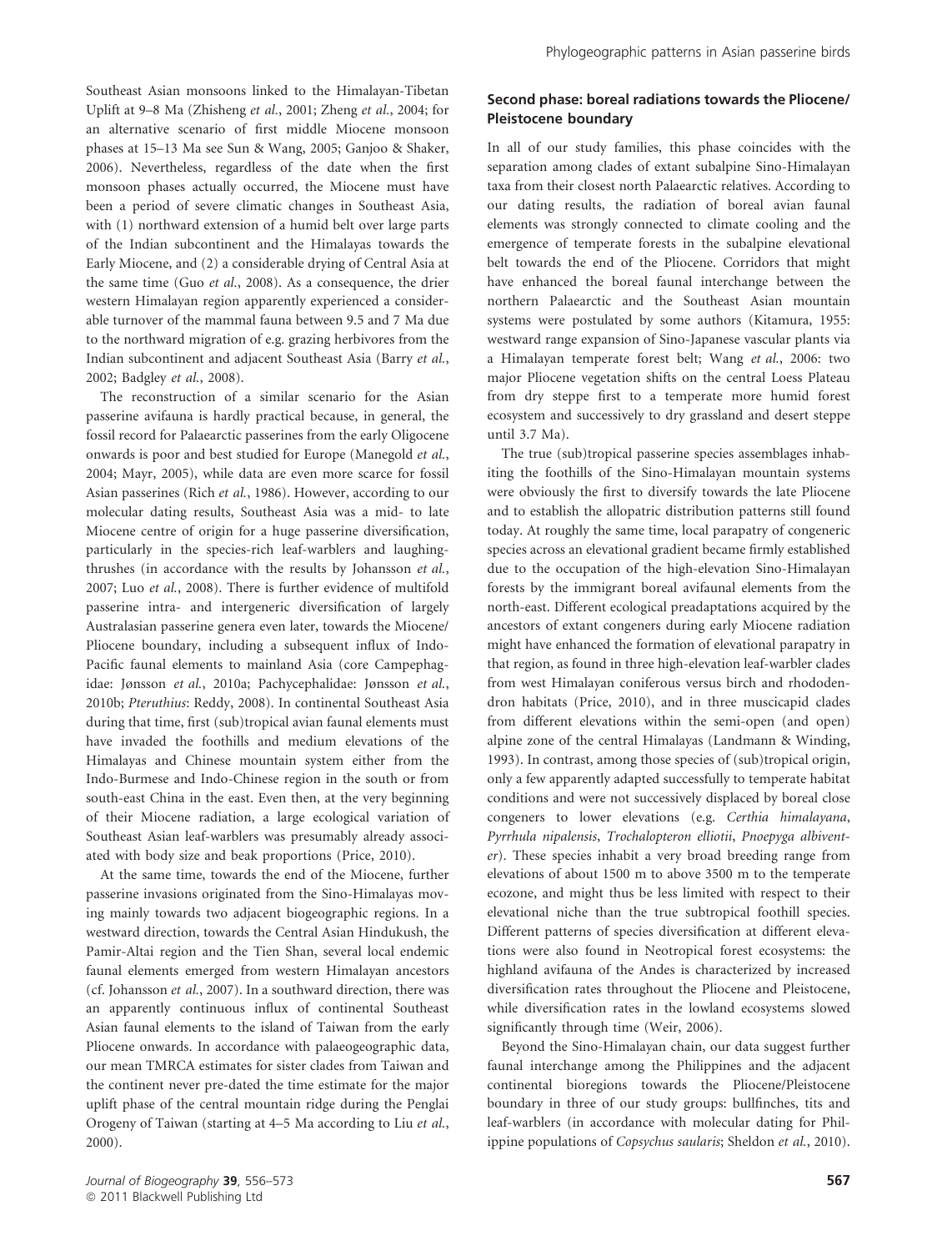Southeast Asian monsoons linked to the Himalayan-Tibetan Uplift at 9–8 Ma (Zhisheng et al., 2001; Zheng et al., 2004; for an alternative scenario of first middle Miocene monsoon phases at 15–13 Ma see Sun & Wang, 2005; Ganjoo & Shaker, 2006). Nevertheless, regardless of the date when the first monsoon phases actually occurred, the Miocene must have been a period of severe climatic changes in Southeast Asia, with (1) northward extension of a humid belt over large parts of the Indian subcontinent and the Himalayas towards the Early Miocene, and (2) a considerable drying of Central Asia at the same time (Guo et al., 2008). As a consequence, the drier western Himalayan region apparently experienced a considerable turnover of the mammal fauna between 9.5 and 7 Ma due to the northward migration of e.g. grazing herbivores from the Indian subcontinent and adjacent Southeast Asia (Barry et al., 2002; Badgley et al., 2008).

The reconstruction of a similar scenario for the Asian passerine avifauna is hardly practical because, in general, the fossil record for Palaearctic passerines from the early Oligocene onwards is poor and best studied for Europe (Manegold et al., 2004; Mayr, 2005), while data are even more scarce for fossil Asian passerines (Rich et al., 1986). However, according to our molecular dating results, Southeast Asia was a mid- to late Miocene centre of origin for a huge passerine diversification, particularly in the species-rich leaf-warblers and laughingthrushes (in accordance with the results by Johansson et al., 2007; Luo et al., 2008). There is further evidence of multifold passerine intra- and intergeneric diversification of largely Australasian passerine genera even later, towards the Miocene/ Pliocene boundary, including a subsequent influx of Indo-Pacific faunal elements to mainland Asia (core Campephagidae: Jønsson et al., 2010a; Pachycephalidae: Jønsson et al., 2010b; Pteruthius: Reddy, 2008). In continental Southeast Asia during that time, first (sub)tropical avian faunal elements must have invaded the foothills and medium elevations of the Himalayas and Chinese mountain system either from the Indo-Burmese and Indo-Chinese region in the south or from south-east China in the east. Even then, at the very beginning of their Miocene radiation, a large ecological variation of Southeast Asian leaf-warblers was presumably already associated with body size and beak proportions (Price, 2010).

At the same time, towards the end of the Miocene, further passerine invasions originated from the Sino-Himalayas moving mainly towards two adjacent biogeographic regions. In a westward direction, towards the Central Asian Hindukush, the Pamir-Altai region and the Tien Shan, several local endemic faunal elements emerged from western Himalayan ancestors (cf. Johansson et al., 2007). In a southward direction, there was an apparently continuous influx of continental Southeast Asian faunal elements to the island of Taiwan from the early Pliocene onwards. In accordance with palaeogeographic data, our mean TMRCA estimates for sister clades from Taiwan and the continent never pre-dated the time estimate for the major uplift phase of the central mountain ridge during the Penglai Orogeny of Taiwan (starting at 4–5 Ma according to Liu et al., 2000).

# Second phase: boreal radiations towards the Pliocene/ Pleistocene boundary

In all of our study families, this phase coincides with the separation among clades of extant subalpine Sino-Himalayan taxa from their closest north Palaearctic relatives. According to our dating results, the radiation of boreal avian faunal elements was strongly connected to climate cooling and the emergence of temperate forests in the subalpine elevational belt towards the end of the Pliocene. Corridors that might have enhanced the boreal faunal interchange between the northern Palaearctic and the Southeast Asian mountain systems were postulated by some authors (Kitamura, 1955: westward range expansion of Sino-Japanese vascular plants via a Himalayan temperate forest belt; Wang et al., 2006: two major Pliocene vegetation shifts on the central Loess Plateau from dry steppe first to a temperate more humid forest ecosystem and successively to dry grassland and desert steppe until 3.7 Ma).

The true (sub)tropical passerine species assemblages inhabiting the foothills of the Sino-Himalayan mountain systems were obviously the first to diversify towards the late Pliocene and to establish the allopatric distribution patterns still found today. At roughly the same time, local parapatry of congeneric species across an elevational gradient became firmly established due to the occupation of the high-elevation Sino-Himalayan forests by the immigrant boreal avifaunal elements from the north-east. Different ecological preadaptations acquired by the ancestors of extant congeners during early Miocene radiation might have enhanced the formation of elevational parapatry in that region, as found in three high-elevation leaf-warbler clades from west Himalayan coniferous versus birch and rhododendron habitats (Price, 2010), and in three muscicapid clades from different elevations within the semi-open (and open) alpine zone of the central Himalayas (Landmann & Winding, 1993). In contrast, among those species of (sub)tropical origin, only a few apparently adapted successfully to temperate habitat conditions and were not successively displaced by boreal close congeners to lower elevations (e.g. Certhia himalayana, Pyrrhula nipalensis, Trochalopteron elliotii, Pnoepyga albiventer). These species inhabit a very broad breeding range from elevations of about 1500 m to above 3500 m to the temperate ecozone, and might thus be less limited with respect to their elevational niche than the true subtropical foothill species. Different patterns of species diversification at different elevations were also found in Neotropical forest ecosystems: the highland avifauna of the Andes is characterized by increased diversification rates throughout the Pliocene and Pleistocene, while diversification rates in the lowland ecosystems slowed significantly through time (Weir, 2006).

Beyond the Sino-Himalayan chain, our data suggest further faunal interchange among the Philippines and the adjacent continental bioregions towards the Pliocene/Pleistocene boundary in three of our study groups: bullfinches, tits and leaf-warblers (in accordance with molecular dating for Philippine populations of Copsychus saularis; Sheldon et al., 2010).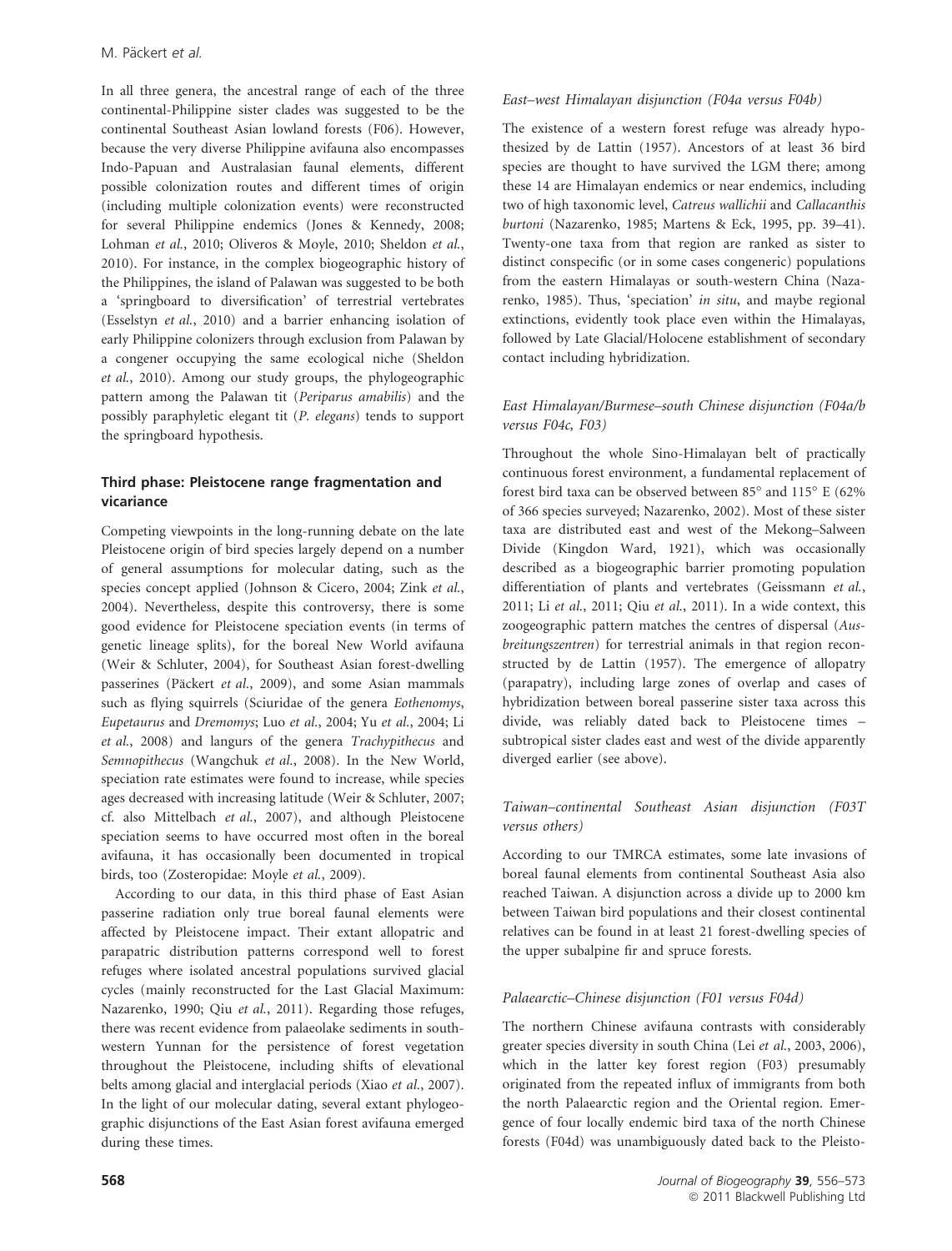In all three genera, the ancestral range of each of the three continental-Philippine sister clades was suggested to be the continental Southeast Asian lowland forests (F06). However, because the very diverse Philippine avifauna also encompasses Indo-Papuan and Australasian faunal elements, different possible colonization routes and different times of origin (including multiple colonization events) were reconstructed for several Philippine endemics (Jones & Kennedy, 2008; Lohman et al., 2010; Oliveros & Moyle, 2010; Sheldon et al., 2010). For instance, in the complex biogeographic history of the Philippines, the island of Palawan was suggested to be both a 'springboard to diversification' of terrestrial vertebrates (Esselstyn et al., 2010) and a barrier enhancing isolation of early Philippine colonizers through exclusion from Palawan by a congener occupying the same ecological niche (Sheldon et al., 2010). Among our study groups, the phylogeographic pattern among the Palawan tit (Periparus amabilis) and the possibly paraphyletic elegant tit (P. elegans) tends to support the springboard hypothesis.

# Third phase: Pleistocene range fragmentation and vicariance

Competing viewpoints in the long-running debate on the late Pleistocene origin of bird species largely depend on a number of general assumptions for molecular dating, such as the species concept applied (Johnson & Cicero, 2004; Zink et al., 2004). Nevertheless, despite this controversy, there is some good evidence for Pleistocene speciation events (in terms of genetic lineage splits), for the boreal New World avifauna (Weir & Schluter, 2004), for Southeast Asian forest-dwelling passerines (Päckert et al., 2009), and some Asian mammals such as flying squirrels (Sciuridae of the genera Eothenomys, Eupetaurus and Dremomys; Luo et al., 2004; Yu et al., 2004; Li et al., 2008) and langurs of the genera Trachypithecus and Semnopithecus (Wangchuk et al., 2008). In the New World, speciation rate estimates were found to increase, while species ages decreased with increasing latitude (Weir & Schluter, 2007; cf. also Mittelbach et al., 2007), and although Pleistocene speciation seems to have occurred most often in the boreal avifauna, it has occasionally been documented in tropical birds, too (Zosteropidae: Moyle et al., 2009).

According to our data, in this third phase of East Asian passerine radiation only true boreal faunal elements were affected by Pleistocene impact. Their extant allopatric and parapatric distribution patterns correspond well to forest refuges where isolated ancestral populations survived glacial cycles (mainly reconstructed for the Last Glacial Maximum: Nazarenko, 1990; Qiu et al., 2011). Regarding those refuges, there was recent evidence from palaeolake sediments in southwestern Yunnan for the persistence of forest vegetation throughout the Pleistocene, including shifts of elevational belts among glacial and interglacial periods (Xiao et al., 2007). In the light of our molecular dating, several extant phylogeographic disjunctions of the East Asian forest avifauna emerged during these times.

## East–west Himalayan disjunction (F04a versus F04b)

The existence of a western forest refuge was already hypothesized by de Lattin (1957). Ancestors of at least 36 bird species are thought to have survived the LGM there; among these 14 are Himalayan endemics or near endemics, including two of high taxonomic level, Catreus wallichii and Callacanthis burtoni (Nazarenko, 1985; Martens & Eck, 1995, pp. 39–41). Twenty-one taxa from that region are ranked as sister to distinct conspecific (or in some cases congeneric) populations from the eastern Himalayas or south-western China (Nazarenko, 1985). Thus, 'speciation' in situ, and maybe regional extinctions, evidently took place even within the Himalayas, followed by Late Glacial/Holocene establishment of secondary contact including hybridization.

## East Himalayan/Burmese–south Chinese disjunction (F04a/b versus F04c, F03)

Throughout the whole Sino-Himalayan belt of practically continuous forest environment, a fundamental replacement of forest bird taxa can be observed between  $85^{\circ}$  and  $115^{\circ}$  E (62% of 366 species surveyed; Nazarenko, 2002). Most of these sister taxa are distributed east and west of the Mekong–Salween Divide (Kingdon Ward, 1921), which was occasionally described as a biogeographic barrier promoting population differentiation of plants and vertebrates (Geissmann et al., 2011; Li et al., 2011; Qiu et al., 2011). In a wide context, this zoogeographic pattern matches the centres of dispersal (Ausbreitungszentren) for terrestrial animals in that region reconstructed by de Lattin (1957). The emergence of allopatry (parapatry), including large zones of overlap and cases of hybridization between boreal passerine sister taxa across this divide, was reliably dated back to Pleistocene times – subtropical sister clades east and west of the divide apparently diverged earlier (see above).

## Taiwan–continental Southeast Asian disjunction (F03T versus others)

According to our TMRCA estimates, some late invasions of boreal faunal elements from continental Southeast Asia also reached Taiwan. A disjunction across a divide up to 2000 km between Taiwan bird populations and their closest continental relatives can be found in at least 21 forest-dwelling species of the upper subalpine fir and spruce forests.

## Palaearctic–Chinese disjunction (F01 versus F04d)

The northern Chinese avifauna contrasts with considerably greater species diversity in south China (Lei et al., 2003, 2006), which in the latter key forest region (F03) presumably originated from the repeated influx of immigrants from both the north Palaearctic region and the Oriental region. Emergence of four locally endemic bird taxa of the north Chinese forests (F04d) was unambiguously dated back to the Pleisto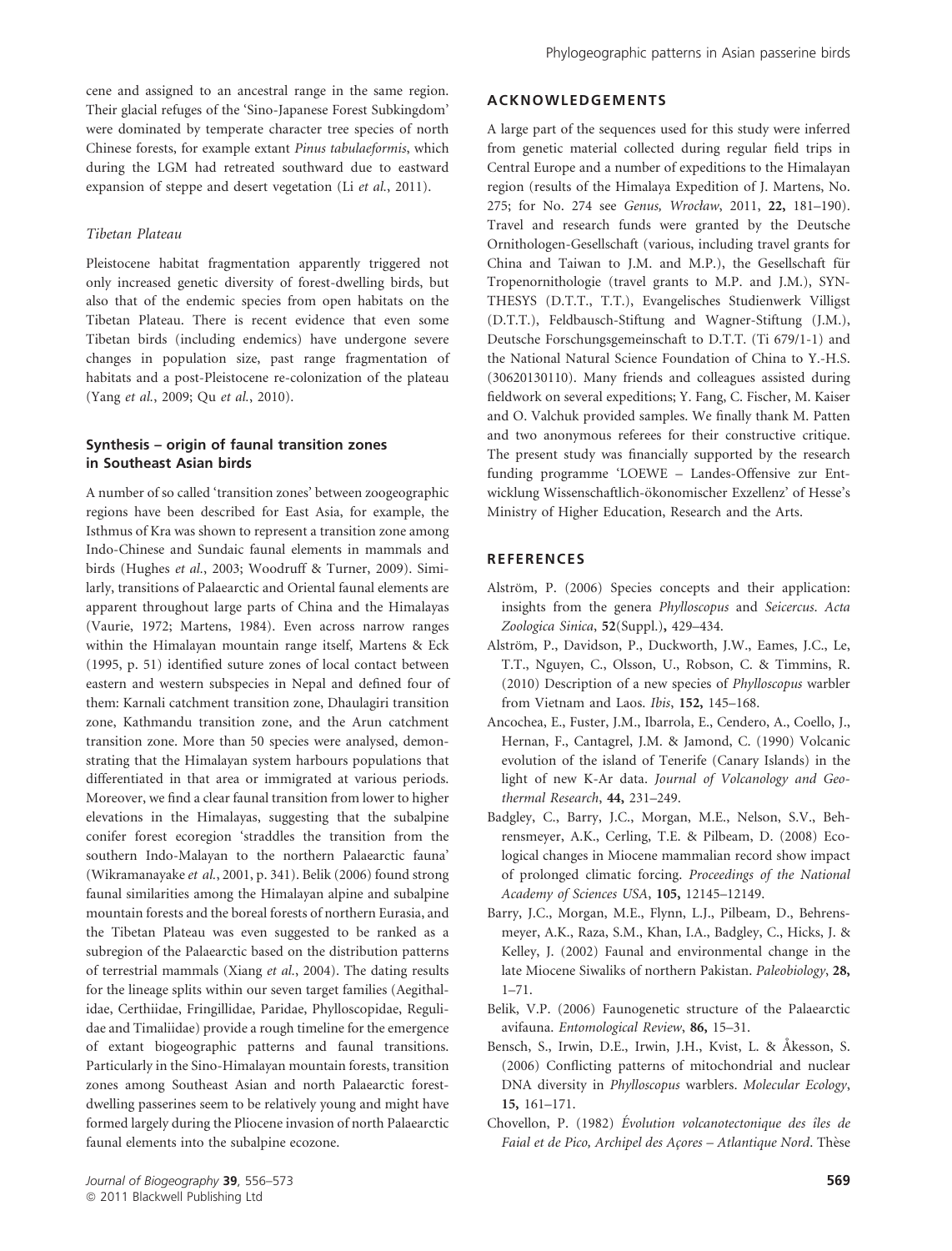cene and assigned to an ancestral range in the same region. Their glacial refuges of the 'Sino-Japanese Forest Subkingdom' were dominated by temperate character tree species of north Chinese forests, for example extant Pinus tabulaeformis, which during the LGM had retreated southward due to eastward expansion of steppe and desert vegetation (Li et al., 2011).

## Tibetan Plateau

Pleistocene habitat fragmentation apparently triggered not only increased genetic diversity of forest-dwelling birds, but also that of the endemic species from open habitats on the Tibetan Plateau. There is recent evidence that even some Tibetan birds (including endemics) have undergone severe changes in population size, past range fragmentation of habitats and a post-Pleistocene re-colonization of the plateau (Yang et al., 2009; Qu et al., 2010).

## Synthesis – origin of faunal transition zones in Southeast Asian birds

A number of so called 'transition zones' between zoogeographic regions have been described for East Asia, for example, the Isthmus of Kra was shown to represent a transition zone among Indo-Chinese and Sundaic faunal elements in mammals and birds (Hughes et al., 2003; Woodruff & Turner, 2009). Similarly, transitions of Palaearctic and Oriental faunal elements are apparent throughout large parts of China and the Himalayas (Vaurie, 1972; Martens, 1984). Even across narrow ranges within the Himalayan mountain range itself, Martens & Eck (1995, p. 51) identified suture zones of local contact between eastern and western subspecies in Nepal and defined four of them: Karnali catchment transition zone, Dhaulagiri transition zone, Kathmandu transition zone, and the Arun catchment transition zone. More than 50 species were analysed, demonstrating that the Himalayan system harbours populations that differentiated in that area or immigrated at various periods. Moreover, we find a clear faunal transition from lower to higher elevations in the Himalayas, suggesting that the subalpine conifer forest ecoregion 'straddles the transition from the southern Indo-Malayan to the northern Palaearctic fauna' (Wikramanayake et al., 2001, p. 341). Belik (2006) found strong faunal similarities among the Himalayan alpine and subalpine mountain forests and the boreal forests of northern Eurasia, and the Tibetan Plateau was even suggested to be ranked as a subregion of the Palaearctic based on the distribution patterns of terrestrial mammals (Xiang et al., 2004). The dating results for the lineage splits within our seven target families (Aegithalidae, Certhiidae, Fringillidae, Paridae, Phylloscopidae, Regulidae and Timaliidae) provide a rough timeline for the emergence of extant biogeographic patterns and faunal transitions. Particularly in the Sino-Himalayan mountain forests, transition zones among Southeast Asian and north Palaearctic forestdwelling passerines seem to be relatively young and might have formed largely during the Pliocene invasion of north Palaearctic faunal elements into the subalpine ecozone.

# ACKNOWLEDGEMENTS

A large part of the sequences used for this study were inferred from genetic material collected during regular field trips in Central Europe and a number of expeditions to the Himalayan region (results of the Himalaya Expedition of J. Martens, No. 275; for No. 274 see Genus, Wrocław, 2011, 22, 181–190). Travel and research funds were granted by the Deutsche Ornithologen-Gesellschaft (various, including travel grants for China and Taiwan to J.M. and M.P.), the Gesellschaft für Tropenornithologie (travel grants to M.P. and J.M.), SYN-THESYS (D.T.T., T.T.), Evangelisches Studienwerk Villigst (D.T.T.), Feldbausch-Stiftung and Wagner-Stiftung (J.M.), Deutsche Forschungsgemeinschaft to D.T.T. (Ti 679/1-1) and the National Natural Science Foundation of China to Y.-H.S. (30620130110). Many friends and colleagues assisted during fieldwork on several expeditions; Y. Fang, C. Fischer, M. Kaiser and O. Valchuk provided samples. We finally thank M. Patten and two anonymous referees for their constructive critique. The present study was financially supported by the research funding programme 'LOEWE – Landes-Offensive zur Entwicklung Wissenschaftlich-ökonomischer Exzellenz' of Hesse's Ministry of Higher Education, Research and the Arts.

## **REFERENCES**

- Alström, P. (2006) Species concepts and their application: insights from the genera Phylloscopus and Seicercus. Acta Zoologica Sinica, 52(Suppl.), 429–434.
- Alström, P., Davidson, P., Duckworth, J.W., Eames, J.C., Le, T.T., Nguyen, C., Olsson, U., Robson, C. & Timmins, R. (2010) Description of a new species of Phylloscopus warbler from Vietnam and Laos. Ibis, 152, 145-168.
- Ancochea, E., Fuster, J.M., Ibarrola, E., Cendero, A., Coello, J., Hernan, F., Cantagrel, J.M. & Jamond, C. (1990) Volcanic evolution of the island of Tenerife (Canary Islands) in the light of new K-Ar data. Journal of Volcanology and Geothermal Research, 44, 231–249.
- Badgley, C., Barry, J.C., Morgan, M.E., Nelson, S.V., Behrensmeyer, A.K., Cerling, T.E. & Pilbeam, D. (2008) Ecological changes in Miocene mammalian record show impact of prolonged climatic forcing. Proceedings of the National Academy of Sciences USA, 105, 12145–12149.
- Barry, J.C., Morgan, M.E., Flynn, L.J., Pilbeam, D., Behrensmeyer, A.K., Raza, S.M., Khan, I.A., Badgley, C., Hicks, J. & Kelley, J. (2002) Faunal and environmental change in the late Miocene Siwaliks of northern Pakistan. Paleobiology, 28, 1–71.
- Belik, V.P. (2006) Faunogenetic structure of the Palaearctic avifauna. Entomological Review, 86, 15–31.
- Bensch, S., Irwin, D.E., Irwin, J.H., Kvist, L. & Åkesson, S. (2006) Conflicting patterns of mitochondrial and nuclear DNA diversity in Phylloscopus warblers. Molecular Ecology, 15, 161–171.
- Chovellon, P. (1982) Évolution volcanotectonique des îles de Faial et de Pico, Archipel des Acores – Atlantique Nord. Thèse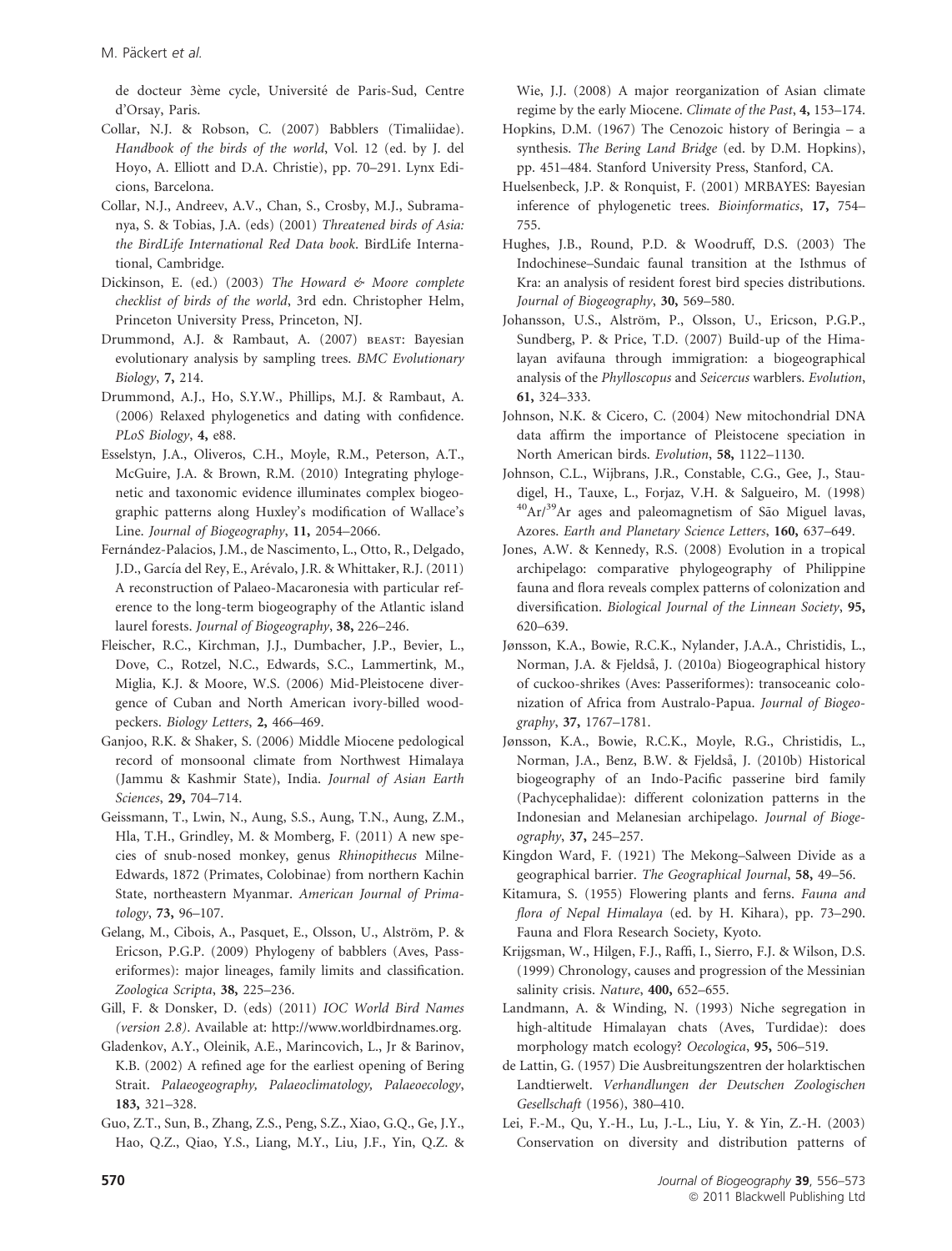de docteur 3ème cycle, Université de Paris-Sud, Centre d'Orsay, Paris.

- Collar, N.J. & Robson, C. (2007) Babblers (Timaliidae). Handbook of the birds of the world, Vol. 12 (ed. by J. del Hoyo, A. Elliott and D.A. Christie), pp. 70–291. Lynx Edicions, Barcelona.
- Collar, N.J., Andreev, A.V., Chan, S., Crosby, M.J., Subramanya, S. & Tobias, J.A. (eds) (2001) Threatened birds of Asia: the BirdLife International Red Data book. BirdLife International, Cambridge.
- Dickinson, E. (ed.) (2003) The Howard  $\&$  Moore complete checklist of birds of the world, 3rd edn. Christopher Helm, Princeton University Press, Princeton, NJ.
- Drummond, A.J. & Rambaut, A. (2007) beast: Bayesian evolutionary analysis by sampling trees. BMC Evolutionary Biology, 7, 214.
- Drummond, A.J., Ho, S.Y.W., Phillips, M.J. & Rambaut, A. (2006) Relaxed phylogenetics and dating with confidence. PLoS Biology, 4, e88.
- Esselstyn, J.A., Oliveros, C.H., Moyle, R.M., Peterson, A.T., McGuire, J.A. & Brown, R.M. (2010) Integrating phylogenetic and taxonomic evidence illuminates complex biogeographic patterns along Huxley's modification of Wallace's Line. Journal of Biogeography, 11, 2054–2066.
- Fernández-Palacios, J.M., de Nascimento, L., Otto, R., Delgado, J.D., García del Rey, E., Arévalo, J.R. & Whittaker, R.J. (2011) A reconstruction of Palaeo-Macaronesia with particular reference to the long-term biogeography of the Atlantic island laurel forests. Journal of Biogeography, 38, 226–246.
- Fleischer, R.C., Kirchman, J.J., Dumbacher, J.P., Bevier, L., Dove, C., Rotzel, N.C., Edwards, S.C., Lammertink, M., Miglia, K.J. & Moore, W.S. (2006) Mid-Pleistocene divergence of Cuban and North American ivory-billed woodpeckers. Biology Letters, 2, 466–469.
- Ganjoo, R.K. & Shaker, S. (2006) Middle Miocene pedological record of monsoonal climate from Northwest Himalaya (Jammu & Kashmir State), India. Journal of Asian Earth Sciences, 29, 704–714.
- Geissmann, T., Lwin, N., Aung, S.S., Aung, T.N., Aung, Z.M., Hla, T.H., Grindley, M. & Momberg, F. (2011) A new species of snub-nosed monkey, genus Rhinopithecus Milne-Edwards, 1872 (Primates, Colobinae) from northern Kachin State, northeastern Myanmar. American Journal of Primatology, 73, 96–107.
- Gelang, M., Cibois, A., Pasquet, E., Olsson, U., Alström, P. & Ericson, P.G.P. (2009) Phylogeny of babblers (Aves, Passeriformes): major lineages, family limits and classification. Zoologica Scripta, 38, 225–236.
- Gill, F. & Donsker, D. (eds) (2011) IOC World Bird Names (version 2.8). Available at: http://www.worldbirdnames.org.
- Gladenkov, A.Y., Oleinik, A.E., Marincovich, L., Jr & Barinov, K.B. (2002) A refined age for the earliest opening of Bering Strait. Palaeogeography, Palaeoclimatology, Palaeoecology, 183, 321–328.
- Guo, Z.T., Sun, B., Zhang, Z.S., Peng, S.Z., Xiao, G.Q., Ge, J.Y., Hao, Q.Z., Qiao, Y.S., Liang, M.Y., Liu, J.F., Yin, Q.Z. &

Wie, J.J. (2008) A major reorganization of Asian climate regime by the early Miocene. Climate of the Past, 4, 153–174.

- Hopkins, D.M. (1967) The Cenozoic history of Beringia a synthesis. The Bering Land Bridge (ed. by D.M. Hopkins), pp. 451–484. Stanford University Press, Stanford, CA.
- Huelsenbeck, J.P. & Ronquist, F. (2001) MRBAYES: Bayesian inference of phylogenetic trees. Bioinformatics, 17, 754– 755.
- Hughes, J.B., Round, P.D. & Woodruff, D.S. (2003) The Indochinese–Sundaic faunal transition at the Isthmus of Kra: an analysis of resident forest bird species distributions. Journal of Biogeography, 30, 569–580.
- Johansson, U.S., Alström, P., Olsson, U., Ericson, P.G.P., Sundberg, P. & Price, T.D. (2007) Build-up of the Himalayan avifauna through immigration: a biogeographical analysis of the Phylloscopus and Seicercus warblers. Evolution, 61, 324–333.
- Johnson, N.K. & Cicero, C. (2004) New mitochondrial DNA data affirm the importance of Pleistocene speciation in North American birds. Evolution, 58, 1122–1130.
- Johnson, C.L., Wijbrans, J.R., Constable, C.G., Gee, J., Staudigel, H., Tauxe, L., Forjaz, V.H. & Salgueiro, M. (1998)  $^{40}$ Ar/ $^{39}$ Ar ages and paleomagnetism of São Miguel lavas, Azores. Earth and Planetary Science Letters, 160, 637–649.
- Jones, A.W. & Kennedy, R.S. (2008) Evolution in a tropical archipelago: comparative phylogeography of Philippine fauna and flora reveals complex patterns of colonization and diversification. Biological Journal of the Linnean Society, 95, 620–639.
- Jønsson, K.A., Bowie, R.C.K., Nylander, J.A.A., Christidis, L., Norman, J.A. & Fjeldså, J. (2010a) Biogeographical history of cuckoo-shrikes (Aves: Passeriformes): transoceanic colonization of Africa from Australo-Papua. Journal of Biogeography, 37, 1767–1781.
- Jønsson, K.A., Bowie, R.C.K., Moyle, R.G., Christidis, L., Norman, J.A., Benz, B.W. & Fjeldså, J. (2010b) Historical biogeography of an Indo-Pacific passerine bird family (Pachycephalidae): different colonization patterns in the Indonesian and Melanesian archipelago. Journal of Biogeography, 37, 245–257.
- Kingdon Ward, F. (1921) The Mekong–Salween Divide as a geographical barrier. The Geographical Journal, 58, 49–56.
- Kitamura, S. (1955) Flowering plants and ferns. Fauna and flora of Nepal Himalaya (ed. by H. Kihara), pp. 73–290. Fauna and Flora Research Society, Kyoto.
- Krijgsman, W., Hilgen, F.J., Raffi, I., Sierro, F.J. & Wilson, D.S. (1999) Chronology, causes and progression of the Messinian salinity crisis. Nature, 400, 652-655.
- Landmann, A. & Winding, N. (1993) Niche segregation in high-altitude Himalayan chats (Aves, Turdidae): does morphology match ecology? Oecologica, 95, 506–519.
- de Lattin, G. (1957) Die Ausbreitungszentren der holarktischen Landtierwelt. Verhandlungen der Deutschen Zoologischen Gesellschaft (1956), 380–410.
- Lei, F.-M., Qu, Y.-H., Lu, J.-L., Liu, Y. & Yin, Z.-H. (2003) Conservation on diversity and distribution patterns of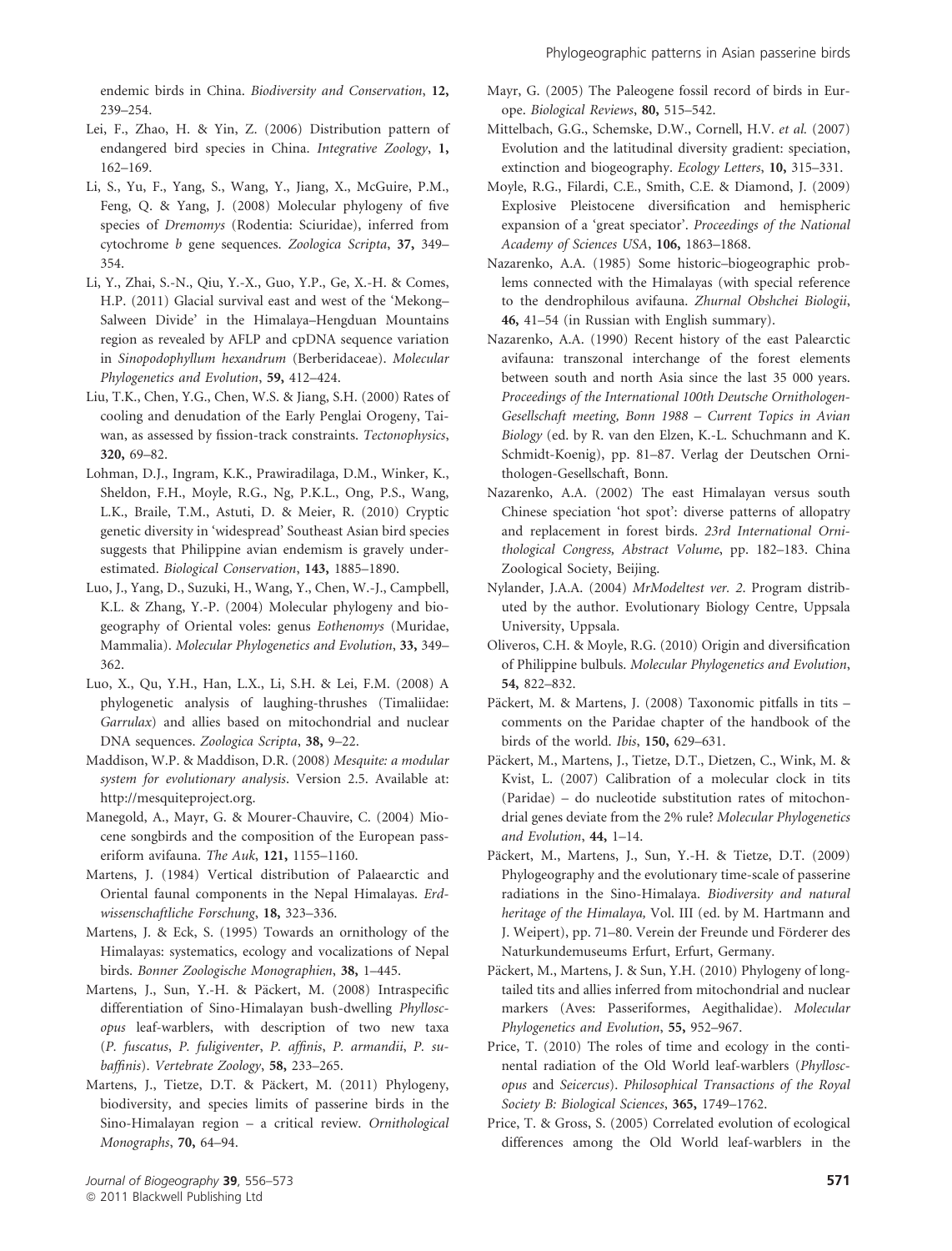endemic birds in China. Biodiversity and Conservation, 12, 239–254.

- Lei, F., Zhao, H. & Yin, Z. (2006) Distribution pattern of endangered bird species in China. Integrative Zoology, 1, 162–169.
- Li, S., Yu, F., Yang, S., Wang, Y., Jiang, X., McGuire, P.M., Feng, Q. & Yang, J. (2008) Molecular phylogeny of five species of Dremomys (Rodentia: Sciuridae), inferred from cytochrome b gene sequences. Zoologica Scripta, 37, 349– 354.
- Li, Y., Zhai, S.-N., Qiu, Y.-X., Guo, Y.P., Ge, X.-H. & Comes, H.P. (2011) Glacial survival east and west of the 'Mekong– Salween Divide' in the Himalaya–Hengduan Mountains region as revealed by AFLP and cpDNA sequence variation in Sinopodophyllum hexandrum (Berberidaceae). Molecular Phylogenetics and Evolution, 59, 412–424.
- Liu, T.K., Chen, Y.G., Chen, W.S. & Jiang, S.H. (2000) Rates of cooling and denudation of the Early Penglai Orogeny, Taiwan, as assessed by fission-track constraints. Tectonophysics, 320, 69–82.
- Lohman, D.J., Ingram, K.K., Prawiradilaga, D.M., Winker, K., Sheldon, F.H., Moyle, R.G., Ng, P.K.L., Ong, P.S., Wang, L.K., Braile, T.M., Astuti, D. & Meier, R. (2010) Cryptic genetic diversity in 'widespread' Southeast Asian bird species suggests that Philippine avian endemism is gravely underestimated. Biological Conservation, 143, 1885–1890.
- Luo, J., Yang, D., Suzuki, H., Wang, Y., Chen, W.-J., Campbell, K.L. & Zhang, Y.-P. (2004) Molecular phylogeny and biogeography of Oriental voles: genus Eothenomys (Muridae, Mammalia). Molecular Phylogenetics and Evolution, 33, 349– 362.
- Luo, X., Qu, Y.H., Han, L.X., Li, S.H. & Lei, F.M. (2008) A phylogenetic analysis of laughing-thrushes (Timaliidae: Garrulax) and allies based on mitochondrial and nuclear DNA sequences. Zoologica Scripta, 38, 9–22.
- Maddison, W.P. & Maddison, D.R. (2008) Mesquite: a modular system for evolutionary analysis. Version 2.5. Available at: http://mesquiteproject.org.
- Manegold, A., Mayr, G. & Mourer-Chauvire, C. (2004) Miocene songbirds and the composition of the European passeriform avifauna. The Auk, 121, 1155-1160.
- Martens, J. (1984) Vertical distribution of Palaearctic and Oriental faunal components in the Nepal Himalayas. Erdwissenschaftliche Forschung, 18, 323–336.
- Martens, J. & Eck, S. (1995) Towards an ornithology of the Himalayas: systematics, ecology and vocalizations of Nepal birds. Bonner Zoologische Monographien, 38, 1–445.
- Martens, J., Sun, Y.-H. & Päckert, M. (2008) Intraspecific differentiation of Sino-Himalayan bush-dwelling Phylloscopus leaf-warblers, with description of two new taxa (P. fuscatus, P. fuligiventer, P. affinis, P. armandii, P. subaffinis). Vertebrate Zoology, 58, 233-265.
- Martens, J., Tietze, D.T. & Päckert, M. (2011) Phylogeny, biodiversity, and species limits of passerine birds in the Sino-Himalayan region – a critical review. Ornithological Monographs, 70, 64–94.
- Mayr, G. (2005) The Paleogene fossil record of birds in Europe. Biological Reviews, 80, 515–542.
- Mittelbach, G.G., Schemske, D.W., Cornell, H.V. et al. (2007) Evolution and the latitudinal diversity gradient: speciation, extinction and biogeography. Ecology Letters, 10, 315–331.
- Moyle, R.G., Filardi, C.E., Smith, C.E. & Diamond, J. (2009) Explosive Pleistocene diversification and hemispheric expansion of a 'great speciator'. Proceedings of the National Academy of Sciences USA, 106, 1863–1868.
- Nazarenko, A.A. (1985) Some historic–biogeographic problems connected with the Himalayas (with special reference to the dendrophilous avifauna. Zhurnal Obshchei Biologii, 46, 41–54 (in Russian with English summary).
- Nazarenko, A.A. (1990) Recent history of the east Palearctic avifauna: transzonal interchange of the forest elements between south and north Asia since the last 35 000 years. Proceedings of the International 100th Deutsche Ornithologen-Gesellschaft meeting, Bonn 1988 – Current Topics in Avian Biology (ed. by R. van den Elzen, K.-L. Schuchmann and K. Schmidt-Koenig), pp. 81–87. Verlag der Deutschen Ornithologen-Gesellschaft, Bonn.
- Nazarenko, A.A. (2002) The east Himalayan versus south Chinese speciation 'hot spot': diverse patterns of allopatry and replacement in forest birds. 23rd International Ornithological Congress, Abstract Volume, pp. 182–183. China Zoological Society, Beijing.
- Nylander, J.A.A. (2004) MrModeltest ver. 2. Program distributed by the author. Evolutionary Biology Centre, Uppsala University, Uppsala.
- Oliveros, C.H. & Moyle, R.G. (2010) Origin and diversification of Philippine bulbuls. Molecular Phylogenetics and Evolution, 54, 822–832.
- Päckert, M. & Martens, J. (2008) Taxonomic pitfalls in tits comments on the Paridae chapter of the handbook of the birds of the world. Ibis, 150, 629–631.
- Päckert, M., Martens, J., Tietze, D.T., Dietzen, C., Wink, M. & Kvist, L. (2007) Calibration of a molecular clock in tits (Paridae) – do nucleotide substitution rates of mitochondrial genes deviate from the 2% rule? Molecular Phylogenetics and Evolution, 44, 1–14.
- Päckert, M., Martens, J., Sun, Y.-H. & Tietze, D.T. (2009) Phylogeography and the evolutionary time-scale of passerine radiations in the Sino-Himalaya. Biodiversity and natural heritage of the Himalaya, Vol. III (ed. by M. Hartmann and J. Weipert), pp. 71–80. Verein der Freunde und Förderer des Naturkundemuseums Erfurt, Erfurt, Germany.
- Päckert, M., Martens, J. & Sun, Y.H. (2010) Phylogeny of longtailed tits and allies inferred from mitochondrial and nuclear markers (Aves: Passeriformes, Aegithalidae). Molecular Phylogenetics and Evolution, 55, 952–967.
- Price, T. (2010) The roles of time and ecology in the continental radiation of the Old World leaf-warblers (Phylloscopus and Seicercus). Philosophical Transactions of the Royal Society B: Biological Sciences, 365, 1749–1762.
- Price, T. & Gross, S. (2005) Correlated evolution of ecological differences among the Old World leaf-warblers in the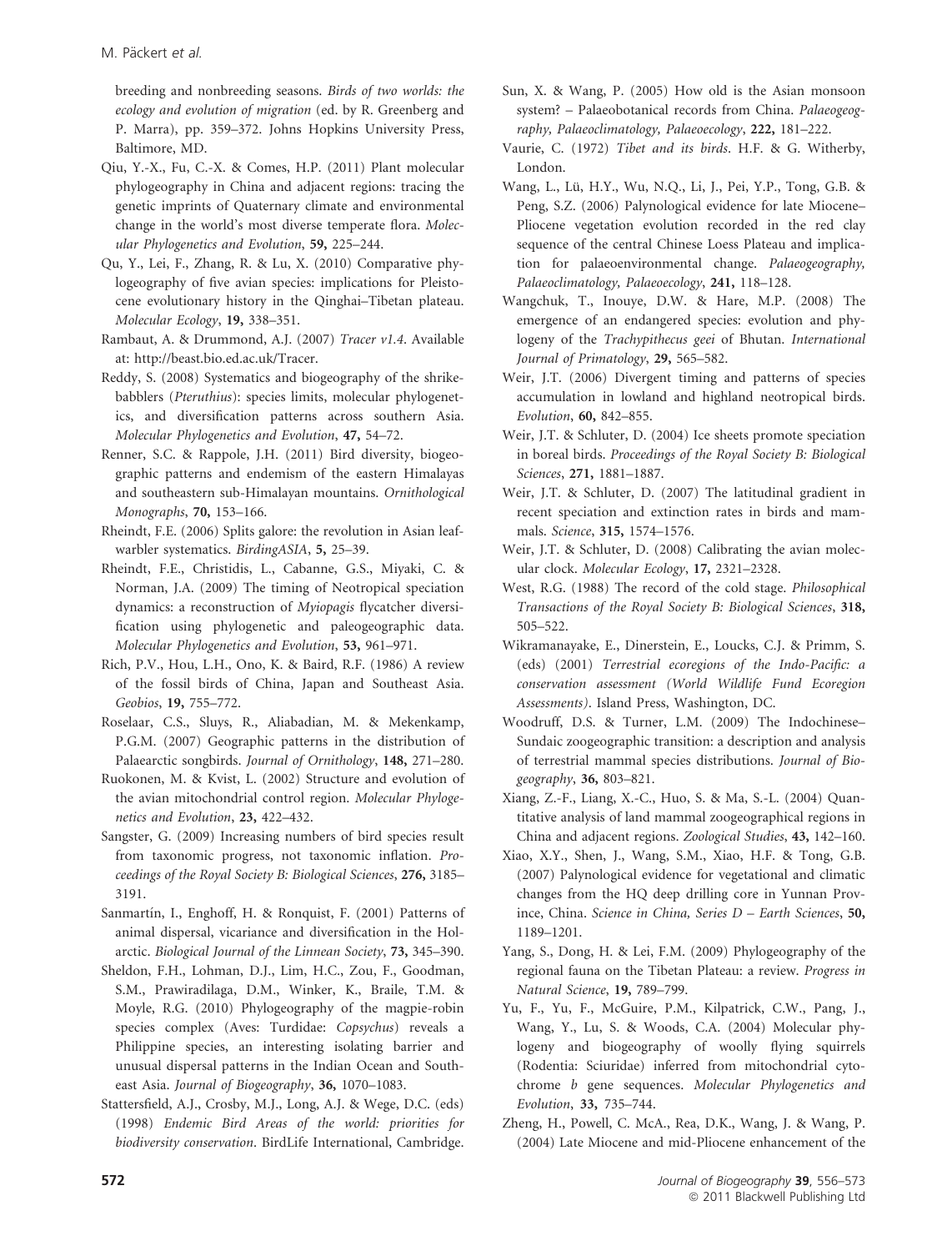breeding and nonbreeding seasons. Birds of two worlds: the ecology and evolution of migration (ed. by R. Greenberg and P. Marra), pp. 359–372. Johns Hopkins University Press, Baltimore, MD.

- Qiu, Y.-X., Fu, C.-X. & Comes, H.P. (2011) Plant molecular phylogeography in China and adjacent regions: tracing the genetic imprints of Quaternary climate and environmental change in the world's most diverse temperate flora. Molecular Phylogenetics and Evolution, 59, 225–244.
- Qu, Y., Lei, F., Zhang, R. & Lu, X. (2010) Comparative phylogeography of five avian species: implications for Pleistocene evolutionary history in the Qinghai–Tibetan plateau. Molecular Ecology, 19, 338–351.
- Rambaut, A. & Drummond, A.J. (2007) Tracer v1.4. Available at: http://beast.bio.ed.ac.uk/Tracer.
- Reddy, S. (2008) Systematics and biogeography of the shrikebabblers (Pteruthius): species limits, molecular phylogenetics, and diversification patterns across southern Asia. Molecular Phylogenetics and Evolution, 47, 54–72.
- Renner, S.C. & Rappole, J.H. (2011) Bird diversity, biogeographic patterns and endemism of the eastern Himalayas and southeastern sub-Himalayan mountains. Ornithological Monographs, 70, 153–166.
- Rheindt, F.E. (2006) Splits galore: the revolution in Asian leafwarbler systematics. BirdingASIA, 5, 25–39.
- Rheindt, F.E., Christidis, L., Cabanne, G.S., Miyaki, C. & Norman, J.A. (2009) The timing of Neotropical speciation dynamics: a reconstruction of Myiopagis flycatcher diversification using phylogenetic and paleogeographic data. Molecular Phylogenetics and Evolution, 53, 961–971.
- Rich, P.V., Hou, L.H., Ono, K. & Baird, R.F. (1986) A review of the fossil birds of China, Japan and Southeast Asia. Geobios, 19, 755–772.
- Roselaar, C.S., Sluys, R., Aliabadian, M. & Mekenkamp, P.G.M. (2007) Geographic patterns in the distribution of Palaearctic songbirds. Journal of Ornithology, 148, 271–280.
- Ruokonen, M. & Kvist, L. (2002) Structure and evolution of the avian mitochondrial control region. Molecular Phylogenetics and Evolution, 23, 422–432.
- Sangster, G. (2009) Increasing numbers of bird species result from taxonomic progress, not taxonomic inflation. Proceedings of the Royal Society B: Biological Sciences, 276, 3185– 3191.
- Sanmartín, I., Enghoff, H. & Ronquist, F. (2001) Patterns of animal dispersal, vicariance and diversification in the Holarctic. Biological Journal of the Linnean Society, 73, 345–390.
- Sheldon, F.H., Lohman, D.J., Lim, H.C., Zou, F., Goodman, S.M., Prawiradilaga, D.M., Winker, K., Braile, T.M. & Moyle, R.G. (2010) Phylogeography of the magpie-robin species complex (Aves: Turdidae: Copsychus) reveals a Philippine species, an interesting isolating barrier and unusual dispersal patterns in the Indian Ocean and Southeast Asia. Journal of Biogeography, 36, 1070–1083.
- Stattersfield, A.J., Crosby, M.J., Long, A.J. & Wege, D.C. (eds) (1998) Endemic Bird Areas of the world: priorities for biodiversity conservation. BirdLife International, Cambridge.
- Sun, X. & Wang, P. (2005) How old is the Asian monsoon system? – Palaeobotanical records from China. Palaeogeography, Palaeoclimatology, Palaeoecology, 222, 181–222.
- Vaurie, C. (1972) Tibet and its birds. H.F. & G. Witherby, London.
- Wang, L., Lü, H.Y., Wu, N.Q., Li, J., Pei, Y.P., Tong, G.B. & Peng, S.Z. (2006) Palynological evidence for late Miocene– Pliocene vegetation evolution recorded in the red clay sequence of the central Chinese Loess Plateau and implication for palaeoenvironmental change. Palaeogeography, Palaeoclimatology, Palaeoecology, 241, 118–128.
- Wangchuk, T., Inouye, D.W. & Hare, M.P. (2008) The emergence of an endangered species: evolution and phylogeny of the Trachypithecus geei of Bhutan. International Journal of Primatology, 29, 565–582.
- Weir, J.T. (2006) Divergent timing and patterns of species accumulation in lowland and highland neotropical birds. Evolution, 60, 842–855.
- Weir, J.T. & Schluter, D. (2004) Ice sheets promote speciation in boreal birds. Proceedings of the Royal Society B: Biological Sciences, 271, 1881–1887.
- Weir, J.T. & Schluter, D. (2007) The latitudinal gradient in recent speciation and extinction rates in birds and mammals. Science, 315, 1574–1576.
- Weir, J.T. & Schluter, D. (2008) Calibrating the avian molecular clock. Molecular Ecology, 17, 2321–2328.
- West, R.G. (1988) The record of the cold stage. Philosophical Transactions of the Royal Society B: Biological Sciences, 318, 505–522.
- Wikramanayake, E., Dinerstein, E., Loucks, C.J. & Primm, S. (eds) (2001) Terrestrial ecoregions of the Indo-Pacific: a conservation assessment (World Wildlife Fund Ecoregion Assessments). Island Press, Washington, DC.
- Woodruff, D.S. & Turner, L.M. (2009) The Indochinese– Sundaic zoogeographic transition: a description and analysis of terrestrial mammal species distributions. Journal of Biogeography, 36, 803–821.
- Xiang, Z.-F., Liang, X.-C., Huo, S. & Ma, S.-L. (2004) Quantitative analysis of land mammal zoogeographical regions in China and adjacent regions. Zoological Studies, 43, 142–160.
- Xiao, X.Y., Shen, J., Wang, S.M., Xiao, H.F. & Tong, G.B. (2007) Palynological evidence for vegetational and climatic changes from the HQ deep drilling core in Yunnan Province, China. Science in China, Series D – Earth Sciences, 50, 1189–1201.
- Yang, S., Dong, H. & Lei, F.M. (2009) Phylogeography of the regional fauna on the Tibetan Plateau: a review. Progress in Natural Science, 19, 789–799.
- Yu, F., Yu, F., McGuire, P.M., Kilpatrick, C.W., Pang, J., Wang, Y., Lu, S. & Woods, C.A. (2004) Molecular phylogeny and biogeography of woolly flying squirrels (Rodentia: Sciuridae) inferred from mitochondrial cytochrome b gene sequences. Molecular Phylogenetics and Evolution, 33, 735–744.
- Zheng, H., Powell, C. McA., Rea, D.K., Wang, J. & Wang, P. (2004) Late Miocene and mid-Pliocene enhancement of the